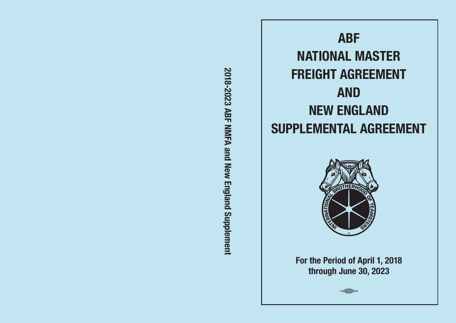2018-2023 ABF NMFA and New England Supplement **2018-2023 ABF NMFA and New England Supplement**





**For the Period of April 1, 2018 through June 30, 2023**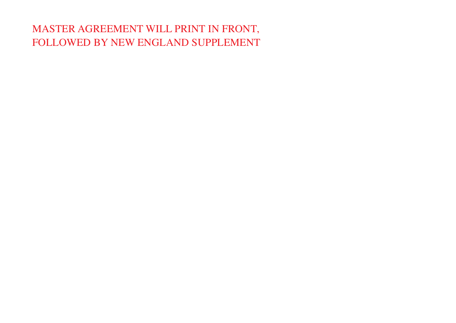# MASTER AGREEMENT WILL PRINT IN FRONT, FOLLOWED BY NEW ENGLAND SUPPLEMENT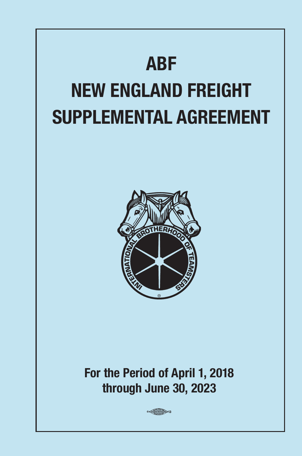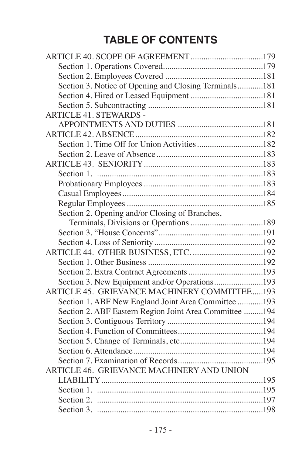# **TABLE OF CONTENTS**

| Section 3. Notice of Opening and Closing Terminals181  |  |
|--------------------------------------------------------|--|
|                                                        |  |
|                                                        |  |
| <b>ARTICLE 41. STEWARDS -</b>                          |  |
|                                                        |  |
|                                                        |  |
|                                                        |  |
|                                                        |  |
|                                                        |  |
|                                                        |  |
|                                                        |  |
|                                                        |  |
|                                                        |  |
| Section 2. Opening and/or Closing of Branches,         |  |
|                                                        |  |
|                                                        |  |
|                                                        |  |
|                                                        |  |
|                                                        |  |
|                                                        |  |
| Section 3. New Equipment and/or Operations193          |  |
| ARTICLE 45. GRIEVANCE MACHINERY COMMITTEE193           |  |
| Section 1. ABF New England Joint Area Committee 193    |  |
| Section 2. ABF Eastern Region Joint Area Committee 194 |  |
|                                                        |  |
|                                                        |  |
|                                                        |  |
|                                                        |  |
|                                                        |  |
| ARTICLE 46. GRIEVANCE MACHINERY AND UNION              |  |
|                                                        |  |
|                                                        |  |
|                                                        |  |
|                                                        |  |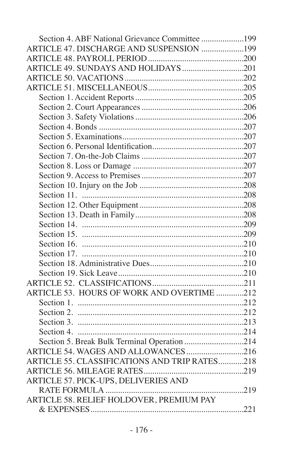| Section 4. ABF National Grievance Committee 199 |  |
|-------------------------------------------------|--|
| ARTICLE 47. DISCHARGE AND SUSPENSION 199        |  |
|                                                 |  |
|                                                 |  |
|                                                 |  |
|                                                 |  |
|                                                 |  |
|                                                 |  |
|                                                 |  |
|                                                 |  |
|                                                 |  |
|                                                 |  |
|                                                 |  |
|                                                 |  |
|                                                 |  |
|                                                 |  |
|                                                 |  |
|                                                 |  |
|                                                 |  |
|                                                 |  |
|                                                 |  |
|                                                 |  |
|                                                 |  |
|                                                 |  |
|                                                 |  |
|                                                 |  |
| ARTICLE 53. HOURS OF WORK AND OVERTIME 212      |  |
|                                                 |  |
|                                                 |  |
|                                                 |  |
|                                                 |  |
| Section 5. Break Bulk Terminal Operation 214    |  |
|                                                 |  |
| ARTICLE 55. CLASSIFICATIONS AND TRIP RATES218   |  |
|                                                 |  |
| ARTICLE 57. PICK-UPS, DELIVERIES AND            |  |
|                                                 |  |
| ARTICLE 58. RELIEF HOLDOVER, PREMIUM PAY        |  |
|                                                 |  |
|                                                 |  |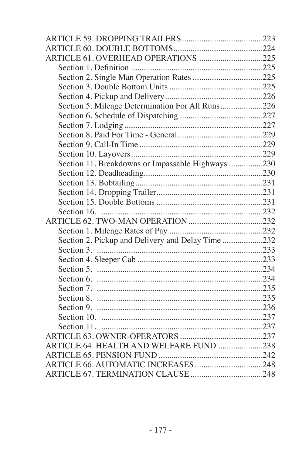| ARTICLE 61. OVERHEAD OPERATIONS 225               |  |
|---------------------------------------------------|--|
|                                                   |  |
|                                                   |  |
|                                                   |  |
|                                                   |  |
| Section 5. Mileage Determination For All Runs226  |  |
|                                                   |  |
|                                                   |  |
|                                                   |  |
|                                                   |  |
|                                                   |  |
| Section 11. Breakdowns or Impassable Highways 230 |  |
|                                                   |  |
|                                                   |  |
|                                                   |  |
|                                                   |  |
|                                                   |  |
|                                                   |  |
|                                                   |  |
| Section 2. Pickup and Delivery and Delay Time 232 |  |
|                                                   |  |
|                                                   |  |
|                                                   |  |
|                                                   |  |
|                                                   |  |
|                                                   |  |
|                                                   |  |
|                                                   |  |
|                                                   |  |
|                                                   |  |
| ARTICLE 64. HEALTH AND WELFARE FUND 238           |  |
|                                                   |  |
|                                                   |  |
|                                                   |  |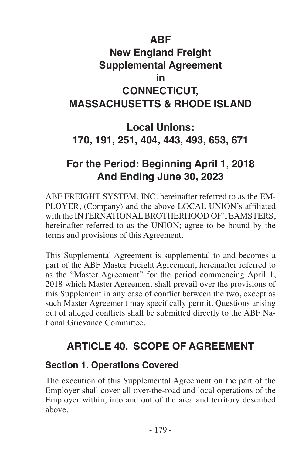# **ABF New England Freight Supplemental Agreement in CONNECTICUT, MASSACHUSETTS & RHODE ISLAND**

# **Local Unions: 170, 191, 251, 404, 443, 493, 653, 671**

# **For the Period: Beginning April 1, 2018 And Ending June 30, 2023**

ABF FREIGHT SYSTEM, INC. hereinafter referred to as the EM-PLOYER, (Company) and the above LOCAL UNION's affiliated with the INTERNATIONAL BROTHERHOOD OF TEAMSTERS, hereinafter referred to as the UNION; agree to be bound by the terms and provisions of this Agreement.

This Supplemental Agreement is supplemental to and becomes a part of the ABF Master Freight Agreement, hereinafter referred to as the "Master Agreement" for the period commencing April 1, 2018 which Master Agreement shall prevail over the provisions of this Supplement in any case of conflict between the two, except as such Master Agreement may specifically permit. Questions arising out of alleged conflicts shall be submitted directly to the ABF National Grievance Committee.

# **ARTICLE 40. SCOPE OF AGREEMENT**

#### **Section 1. Operations Covered**

The execution of this Supplemental Agreement on the part of the Employer shall cover all over-the-road and local operations of the Employer within, into and out of the area and territory described above.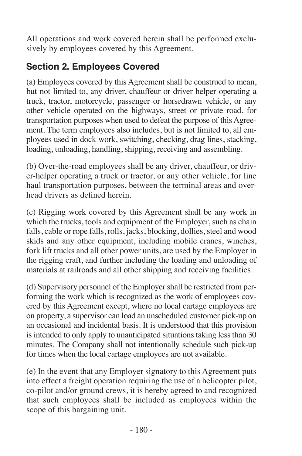All operations and work covered herein shall be performed exclusively by employees covered by this Agreement.

### **Section 2. Employees Covered**

(a) Employees covered by this Agreement shall be construed to mean, but not limited to, any driver, chauffeur or driver helper operating a truck, tractor, motorcycle, passenger or horsedrawn vehicle, or any other vehicle operated on the highways, street or private road, for transportation purposes when used to defeat the purpose of this Agreement. The term employees also includes, but is not limited to, all employees used in dock work, switching, checking, drag lines, stacking, loading, unloading, handling, shipping, receiving and assembling.

(b) Over-the-road employees shall be any driver, chauffeur, or driver-helper operating a truck or tractor, or any other vehicle, for line haul transportation purposes, between the terminal areas and overhead drivers as defined herein.

(c) Rigging work covered by this Agreement shall be any work in which the trucks, tools and equipment of the Employer, such as chain falls, cable or rope falls, rolls, jacks, blocking, dollies, steel and wood skids and any other equipment, including mobile cranes, winches, fork lift trucks and all other power units, are used by the Employer in the rigging craft, and further including the loading and unloading of materials at railroads and all other shipping and receiving facilities.

(d) Supervisory personnel of the Employer shall be restricted from performing the work which is recognized as the work of employees covered by this Agreement except, where no local cartage employees are on property, a supervisor can load an unscheduled customer pick-up on an occasional and incidental basis. It is understood that this provision is intended to only apply to unanticipated situations taking less than 30 minutes. The Company shall not intentionally schedule such pick-up for times when the local cartage employees are not available.

(e) In the event that any Employer signatory to this Agreement puts into effect a freight operation requiring the use of a helicopter pilot, co-pilot and/or ground crews, it is hereby agreed to and recognized that such employees shall be included as employees within the scope of this bargaining unit.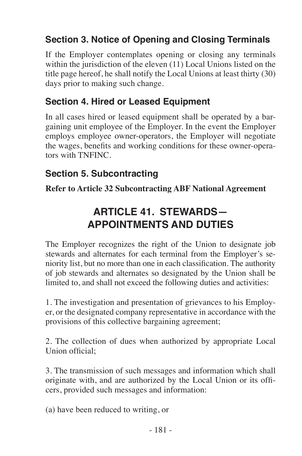### **Section 3. Notice of Opening and Closing Terminals**

If the Employer contemplates opening or closing any terminals within the jurisdiction of the eleven (11) Local Unions listed on the title page hereof, he shall notify the Local Unions at least thirty (30) days prior to making such change.

#### **Section 4. Hired or Leased Equipment**

In all cases hired or leased equipment shall be operated by a bargaining unit employee of the Employer. In the event the Employer employs employee owner-operators, the Employer will negotiate the wages, benefits and working conditions for these owner-operators with TNFINC.

#### **Section 5. Subcontracting**

**Refer to Article 32 Subcontracting ABF National Agreement**

# **ARTICLE 41. STEWARDS— APPOINTMENTS AND DUTIES**

The Employer recognizes the right of the Union to designate job stewards and alternates for each terminal from the Employer's seniority list, but no more than one in each classification. The authority of job stewards and alternates so designated by the Union shall be limited to, and shall not exceed the following duties and activities:

1. The investigation and presentation of grievances to his Employer, or the designated company representative in accordance with the provisions of this collective bargaining agreement;

2. The collection of dues when authorized by appropriate Local Union official;

3. The transmission of such messages and information which shall originate with, and are authorized by the Local Union or its officers, provided such messages and information:

(a) have been reduced to writing, or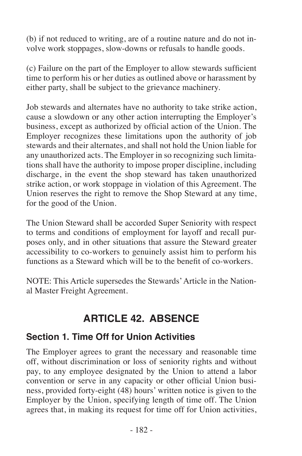(b) if not reduced to writing, are of a routine nature and do not involve work stoppages, slow-downs or refusals to handle goods.

(c) Failure on the part of the Employer to allow stewards sufficient time to perform his or her duties as outlined above or harassment by either party, shall be subject to the grievance machinery.

Job stewards and alternates have no authority to take strike action, cause a slowdown or any other action interrupting the Employer's business, except as authorized by official action of the Union. The Employer recognizes these limitations upon the authority of job stewards and their alternates, and shall not hold the Union liable for any unauthorized acts. The Employer in so recognizing such limitations shall have the authority to impose proper discipline, including discharge, in the event the shop steward has taken unauthorized strike action, or work stoppage in violation of this Agreement. The Union reserves the right to remove the Shop Steward at any time, for the good of the Union.

The Union Steward shall be accorded Super Seniority with respect to terms and conditions of employment for layoff and recall purposes only, and in other situations that assure the Steward greater accessibility to co-workers to genuinely assist him to perform his functions as a Steward which will be to the benefit of co-workers.

NOTE: This Article supersedes the Stewards' Article in the National Master Freight Agreement.

# **ARTICLE 42. ABSENCE**

#### **Section 1. Time Off for Union Activities**

The Employer agrees to grant the necessary and reasonable time off, without discrimination or loss of seniority rights and without pay, to any employee designated by the Union to attend a labor convention or serve in any capacity or other official Union business, provided forty-eight (48) hours' written notice is given to the Employer by the Union, specifying length of time off. The Union agrees that, in making its request for time off for Union activities,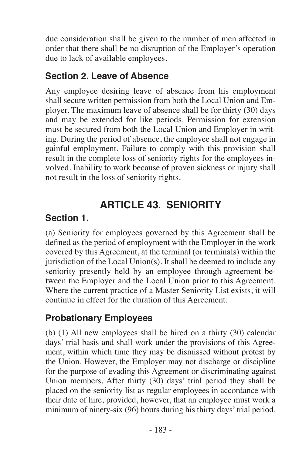due consideration shall be given to the number of men affected in order that there shall be no disruption of the Employer's operation due to lack of available employees.

### **Section 2. Leave of Absence**

Any employee desiring leave of absence from his employment shall secure written permission from both the Local Union and Employer. The maximum leave of absence shall be for thirty (30) days and may be extended for like periods. Permission for extension must be secured from both the Local Union and Employer in writing. During the period of absence, the employee shall not engage in gainful employment. Failure to comply with this provision shall result in the complete loss of seniority rights for the employees involved. Inability to work because of proven sickness or injury shall not result in the loss of seniority rights.

# **ARTICLE 43. SENIORITY**

### **Section 1.**

(a) Seniority for employees governed by this Agreement shall be defined as the period of employment with the Employer in the work covered by this Agreement, at the terminal (or terminals) within the jurisdiction of the Local Union(s). It shall be deemed to include any seniority presently held by an employee through agreement between the Employer and the Local Union prior to this Agreement. Where the current practice of a Master Seniority List exists, it will continue in effect for the duration of this Agreement.

### **Probationary Employees**

(b) (1) All new employees shall be hired on a thirty (30) calendar days' trial basis and shall work under the provisions of this Agreement, within which time they may be dismissed without protest by the Union. However, the Employer may not discharge or discipline for the purpose of evading this Agreement or discriminating against Union members. After thirty (30) days' trial period they shall be placed on the seniority list as regular employees in accordance with their date of hire, provided, however, that an employee must work a minimum of ninety-six (96) hours during his thirty days' trial period.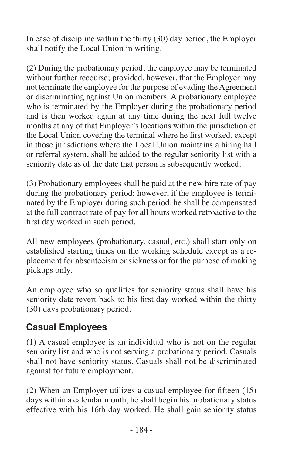In case of discipline within the thirty (30) day period, the Employer shall notify the Local Union in writing.

(2) During the probationary period, the employee may be terminated without further recourse; provided, however, that the Employer may not terminate the employee for the purpose of evading the Agreement or discriminating against Union members. A probationary employee who is terminated by the Employer during the probationary period and is then worked again at any time during the next full twelve months at any of that Employer's locations within the jurisdiction of the Local Union covering the terminal where he first worked, except in those jurisdictions where the Local Union maintains a hiring hall or referral system, shall be added to the regular seniority list with a seniority date as of the date that person is subsequently worked.

(3) Probationary employees shall be paid at the new hire rate of pay during the probationary period; however, if the employee is terminated by the Employer during such period, he shall be compensated at the full contract rate of pay for all hours worked retroactive to the first day worked in such period.

All new employees (probationary, casual, etc.) shall start only on established starting times on the working schedule except as a replacement for absenteeism or sickness or for the purpose of making pickups only.

An employee who so qualifies for seniority status shall have his seniority date revert back to his first day worked within the thirty (30) days probationary period.

#### **Casual Employees**

(1) A casual employee is an individual who is not on the regular seniority list and who is not serving a probationary period. Casuals shall not have seniority status. Casuals shall not be discriminated against for future employment.

(2) When an Employer utilizes a casual employee for fifteen (15) days within a calendar month, he shall begin his probationary status effective with his 16th day worked. He shall gain seniority status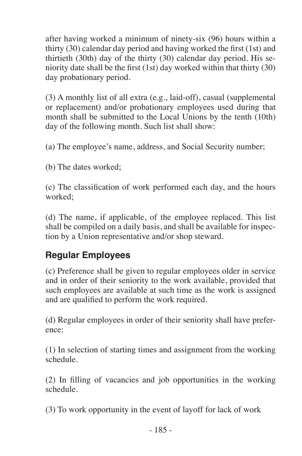after having worked a minimum of ninety-six (96) hours within a thirty (30) calendar day period and having worked the first (1st) and thirtieth (30th) day of the thirty (30) calendar day period. His seniority date shall be the first (1st) day worked within that thirty (30) day probationary period.

(3) A monthly list of all extra (e.g., laid-off), casual (supplemental or replacement) and/or probationary employees used during that month shall be submitted to the Local Unions by the tenth (10th) day of the following month. Such list shall show:

(a) The employee's name, address, and Social Security number;

(b) The dates worked;

(c) The classification of work performed each day, and the hours worked;

(d) The name, if applicable, of the employee replaced. This list shall be compiled on a daily basis, and shall be available for inspection by a Union representative and/or shop steward.

#### **Regular Employees**

(c) Preference shall be given to regular employees older in service and in order of their seniority to the work available, provided that such employees are available at such time as the work is assigned and are qualified to perform the work required.

(d) Regular employees in order of their seniority shall have preference:

(1) In selection of starting times and assignment from the working schedule.

(2) In filling of vacancies and job opportunities in the working schedule.

(3) To work opportunity in the event of layoff for lack of work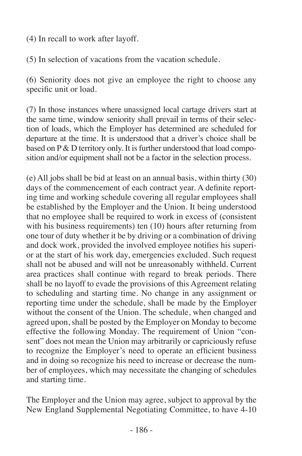(4) In recall to work after layoff.

(5) In selection of vacations from the vacation schedule.

(6) Seniority does not give an employee the right to choose any specific unit or load.

(7) In those instances where unassigned local cartage drivers start at the same time, window seniority shall prevail in terms of their selection of loads, which the Employer has determined are scheduled for departure at the time. It is understood that a driver's choice shall be based on P & D territory only. It is further understood that load composition and/or equipment shall not be a factor in the selection process.

(e) All jobs shall be bid at least on an annual basis, within thirty (30) days of the commencement of each contract year. A definite reporting time and working schedule covering all regular employees shall be established by the Employer and the Union. It being understood that no employee shall be required to work in excess of (consistent with his business requirements) ten (10) hours after returning from one tour of duty whether it be by driving or a combination of driving and dock work, provided the involved employee notifies his superior at the start of his work day, emergencies excluded. Such request shall not be abused and will not be unreasonably withheld. Current area practices shall continue with regard to break periods. There shall be no layoff to evade the provisions of this Agreement relating to scheduling and starting time. No change in any assignment or reporting time under the schedule, shall be made by the Employer without the consent of the Union. The schedule, when changed and agreed upon, shall be posted by the Employer on Monday to become effective the following Monday. The requirement of Union "consent" does not mean the Union may arbitrarily or capriciously refuse to recognize the Employer's need to operate an efficient business and in doing so recognize his need to increase or decrease the number of employees, which may necessitate the changing of schedules and starting time.

The Employer and the Union may agree, subject to approval by the New England Supplemental Negotiating Committee, to have 4-10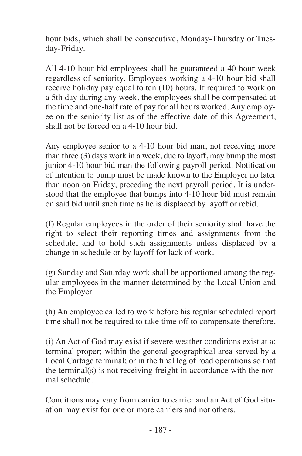hour bids, which shall be consecutive, Monday-Thursday or Tuesday-Friday.

All 4-10 hour bid employees shall be guaranteed a 40 hour week regardless of seniority. Employees working a 4-10 hour bid shall receive holiday pay equal to ten (10) hours. If required to work on a 5th day during any week, the employees shall be compensated at the time and one-half rate of pay for all hours worked. Any employee on the seniority list as of the effective date of this Agreement, shall not be forced on a 4-10 hour bid.

Any employee senior to a 4-10 hour bid man, not receiving more than three (3) days work in a week, due to layoff, may bump the most junior 4-10 hour bid man the following payroll period. Notification of intention to bump must be made known to the Employer no later than noon on Friday, preceding the next payroll period. It is understood that the employee that bumps into 4-10 hour bid must remain on said bid until such time as he is displaced by layoff or rebid.

(f) Regular employees in the order of their seniority shall have the right to select their reporting times and assignments from the schedule, and to hold such assignments unless displaced by a change in schedule or by layoff for lack of work.

(g) Sunday and Saturday work shall be apportioned among the regular employees in the manner determined by the Local Union and the Employer.

(h) An employee called to work before his regular scheduled report time shall not be required to take time off to compensate therefore.

(i) An Act of God may exist if severe weather conditions exist at a: terminal proper; within the general geographical area served by a Local Cartage terminal; or in the final leg of road operations so that the terminal(s) is not receiving freight in accordance with the normal schedule.

Conditions may vary from carrier to carrier and an Act of God situation may exist for one or more carriers and not others.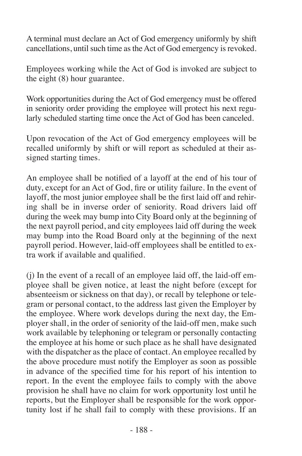A terminal must declare an Act of God emergency uniformly by shift cancellations, until such time as the Act of God emergency is revoked.

Employees working while the Act of God is invoked are subject to the eight (8) hour guarantee.

Work opportunities during the Act of God emergency must be offered in seniority order providing the employee will protect his next regularly scheduled starting time once the Act of God has been canceled.

Upon revocation of the Act of God emergency employees will be recalled uniformly by shift or will report as scheduled at their assigned starting times.

An employee shall be notified of a layoff at the end of his tour of duty, except for an Act of God, fire or utility failure. In the event of layoff, the most junior employee shall be the first laid off and rehiring shall be in inverse order of seniority. Road drivers laid off during the week may bump into City Board only at the beginning of the next payroll period, and city employees laid off during the week may bump into the Road Board only at the beginning of the next payroll period. However, laid-off employees shall be entitled to extra work if available and qualified.

(j) In the event of a recall of an employee laid off, the laid-off employee shall be given notice, at least the night before (except for absenteeism or sickness on that day), or recall by telephone or telegram or personal contact, to the address last given the Employer by the employee. Where work develops during the next day, the Employer shall, in the order of seniority of the laid-off men, make such work available by telephoning or telegram or personally contacting the employee at his home or such place as he shall have designated with the dispatcher as the place of contact. An employee recalled by the above procedure must notify the Employer as soon as possible in advance of the specified time for his report of his intention to report. In the event the employee fails to comply with the above provision he shall have no claim for work opportunity lost until he reports, but the Employer shall be responsible for the work opportunity lost if he shall fail to comply with these provisions. If an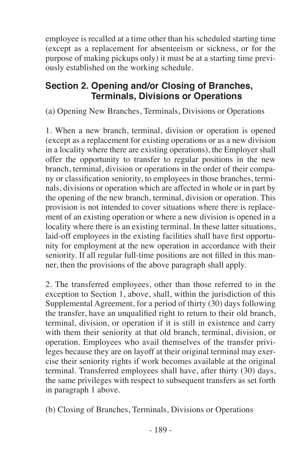employee is recalled at a time other than his scheduled starting time (except as a replacement for absenteeism or sickness, or for the purpose of making pickups only) it must be at a starting time previously established on the working schedule.

#### **Section 2. Opening and/or Closing of Branches, Terminals, Divisions or Operations**

(a) Opening New Branches, Terminals, Divisions or Operations

1. When a new branch, terminal, division or operation is opened (except as a replacement for existing operations or as a new division in a locality where there are existing operations), the Employer shall offer the opportunity to transfer to regular positions in the new branch, terminal, division or operations in the order of their company or classification seniority, to employees in those branches, terminals, divisions or operation which are affected in whole or in part by the opening of the new branch, terminal, division or operation. This provision is not intended to cover situations where there is replacement of an existing operation or where a new division is opened in a locality where there is an existing terminal. In these latter situations, laid-off employees in the existing facilities shall have first opportunity for employment at the new operation in accordance with their seniority. If all regular full-time positions are not filled in this manner, then the provisions of the above paragraph shall apply.

2. The transferred employees, other than those referred to in the exception to Section 1, above, shall, within the jurisdiction of this Supplemental Agreement, for a period of thirty (30) days following the transfer, have an unqualified right to return to their old branch, terminal, division, or operation if it is still in existence and carry with them their seniority at that old branch, terminal, division, or operation. Employees who avail themselves of the transfer privileges because they are on layoff at their original terminal may exercise their seniority rights if work becomes available at the original terminal. Transferred employees shall have, after thirty (30) days, the same privileges with respect to subsequent transfers as set forth in paragraph 1 above.

(b) Closing of Branches, Terminals, Divisions or Operations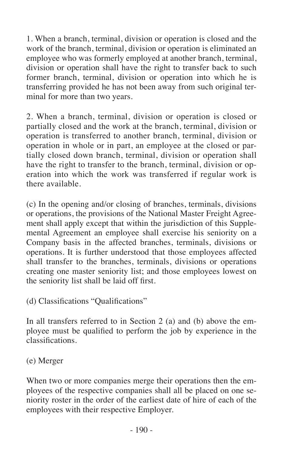1. When a branch, terminal, division or operation is closed and the work of the branch, terminal, division or operation is eliminated an employee who was formerly employed at another branch, terminal, division or operation shall have the right to transfer back to such former branch, terminal, division or operation into which he is transferring provided he has not been away from such original terminal for more than two years.

2. When a branch, terminal, division or operation is closed or partially closed and the work at the branch, terminal, division or operation is transferred to another branch, terminal, division or operation in whole or in part, an employee at the closed or partially closed down branch, terminal, division or operation shall have the right to transfer to the branch, terminal, division or operation into which the work was transferred if regular work is there available.

(c) In the opening and/or closing of branches, terminals, divisions or operations, the provisions of the National Master Freight Agreement shall apply except that within the jurisdiction of this Supplemental Agreement an employee shall exercise his seniority on a Company basis in the affected branches, terminals, divisions or operations. It is further understood that those employees affected shall transfer to the branches, terminals, divisions or operations creating one master seniority list; and those employees lowest on the seniority list shall be laid off first.

(d) Classifications "Qualifications"

In all transfers referred to in Section 2 (a) and (b) above the employee must be qualified to perform the job by experience in the classifications.

(e) Merger

When two or more companies merge their operations then the employees of the respective companies shall all be placed on one seniority roster in the order of the earliest date of hire of each of the employees with their respective Employer.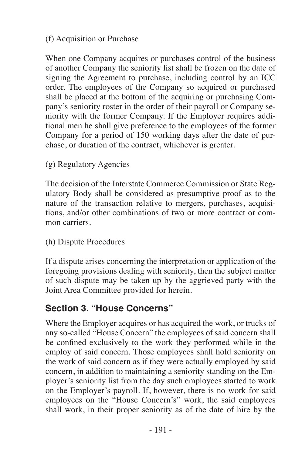#### (f) Acquisition or Purchase

When one Company acquires or purchases control of the business of another Company the seniority list shall be frozen on the date of signing the Agreement to purchase, including control by an ICC order. The employees of the Company so acquired or purchased shall be placed at the bottom of the acquiring or purchasing Company's seniority roster in the order of their payroll or Company seniority with the former Company. If the Employer requires additional men he shall give preference to the employees of the former Company for a period of 150 working days after the date of purchase, or duration of the contract, whichever is greater.

#### (g) Regulatory Agencies

The decision of the Interstate Commerce Commission or State Regulatory Body shall be considered as presumptive proof as to the nature of the transaction relative to mergers, purchases, acquisitions, and/or other combinations of two or more contract or common carriers.

#### (h) Dispute Procedures

If a dispute arises concerning the interpretation or application of the foregoing provisions dealing with seniority, then the subject matter of such dispute may be taken up by the aggrieved party with the Joint Area Committee provided for herein.

### **Section 3. "House Concerns"**

Where the Employer acquires or has acquired the work, or trucks of any so-called "House Concern" the employees of said concern shall be confined exclusively to the work they performed while in the employ of said concern. Those employees shall hold seniority on the work of said concern as if they were actually employed by said concern, in addition to maintaining a seniority standing on the Employer's seniority list from the day such employees started to work on the Employer's payroll. If, however, there is no work for said employees on the "House Concern's" work, the said employees shall work, in their proper seniority as of the date of hire by the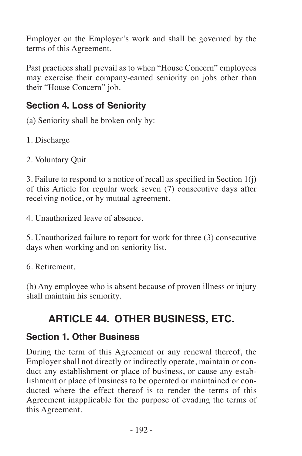Employer on the Employer's work and shall be governed by the terms of this Agreement.

Past practices shall prevail as to when "House Concern" employees may exercise their company-earned seniority on jobs other than their "House Concern" job.

#### **Section 4. Loss of Seniority**

(a) Seniority shall be broken only by:

1. Discharge

2. Voluntary Quit

3. Failure to respond to a notice of recall as specified in Section 1(j) of this Article for regular work seven (7) consecutive days after receiving notice, or by mutual agreement.

4. Unauthorized leave of absence.

5. Unauthorized failure to report for work for three (3) consecutive days when working and on seniority list.

6. Retirement.

(b) Any employee who is absent because of proven illness or injury shall maintain his seniority.

# **ARTICLE 44. OTHER BUSINESS, ETC.**

#### **Section 1. Other Business**

During the term of this Agreement or any renewal thereof, the Employer shall not directly or indirectly operate, maintain or conduct any establishment or place of business, or cause any establishment or place of business to be operated or maintained or conducted where the effect thereof is to render the terms of this Agreement inapplicable for the purpose of evading the terms of this Agreement.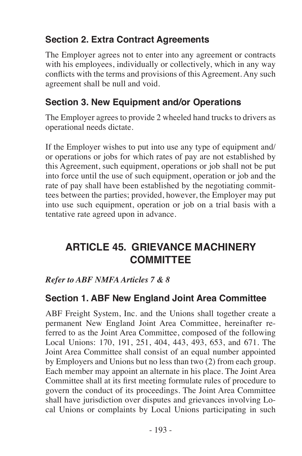### **Section 2. Extra Contract Agreements**

The Employer agrees not to enter into any agreement or contracts with his employees, individually or collectively, which in any way conflicts with the terms and provisions of this Agreement. Any such agreement shall be null and void.

#### **Section 3. New Equipment and/or Operations**

The Employer agrees to provide 2 wheeled hand trucks to drivers as operational needs dictate.

If the Employer wishes to put into use any type of equipment and/ or operations or jobs for which rates of pay are not established by this Agreement, such equipment, operations or job shall not be put into force until the use of such equipment, operation or job and the rate of pay shall have been established by the negotiating committees between the parties; provided, however, the Employer may put into use such equipment, operation or job on a trial basis with a tentative rate agreed upon in advance.

# **ARTICLE 45. GRIEVANCE MACHINERY COMMITTEE**

*Refer to ABF NMFA Articles 7 & 8*

#### **Section 1. ABF New England Joint Area Committee**

ABF Freight System, Inc. and the Unions shall together create a permanent New England Joint Area Committee, hereinafter referred to as the Joint Area Committee, composed of the following Local Unions: 170, 191, 251, 404, 443, 493, 653, and 671. The Joint Area Committee shall consist of an equal number appointed by Employers and Unions but no less than two (2) from each group. Each member may appoint an alternate in his place. The Joint Area Committee shall at its first meeting formulate rules of procedure to govern the conduct of its proceedings. The Joint Area Committee shall have jurisdiction over disputes and grievances involving Local Unions or complaints by Local Unions participating in such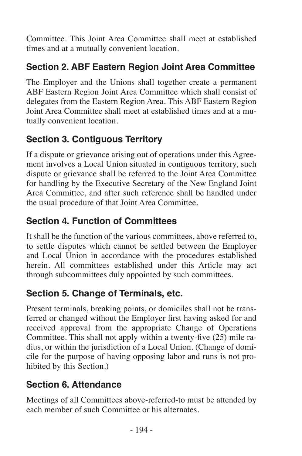Committee. This Joint Area Committee shall meet at established times and at a mutually convenient location.

### **Section 2. ABF Eastern Region Joint Area Committee**

The Employer and the Unions shall together create a permanent ABF Eastern Region Joint Area Committee which shall consist of delegates from the Eastern Region Area. This ABF Eastern Region Joint Area Committee shall meet at established times and at a mutually convenient location.

### **Section 3. Contiguous Territory**

If a dispute or grievance arising out of operations under this Agreement involves a Local Union situated in contiguous territory, such dispute or grievance shall be referred to the Joint Area Committee for handling by the Executive Secretary of the New England Joint Area Committee, and after such reference shall be handled under the usual procedure of that Joint Area Committee.

### **Section 4. Function of Committees**

It shall be the function of the various committees, above referred to, to settle disputes which cannot be settled between the Employer and Local Union in accordance with the procedures established herein. All committees established under this Article may act through subcommittees duly appointed by such committees.

### **Section 5. Change of Terminals, etc.**

Present terminals, breaking points, or domiciles shall not be transferred or changed without the Employer first having asked for and received approval from the appropriate Change of Operations Committee. This shall not apply within a twenty-five (25) mile radius, or within the jurisdiction of a Local Union. (Change of domicile for the purpose of having opposing labor and runs is not prohibited by this Section.)

### **Section 6. Attendance**

Meetings of all Committees above-referred-to must be attended by each member of such Committee or his alternates.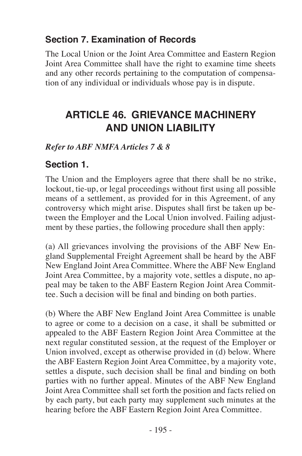#### **Section 7. Examination of Records**

The Local Union or the Joint Area Committee and Eastern Region Joint Area Committee shall have the right to examine time sheets and any other records pertaining to the computation of compensation of any individual or individuals whose pay is in dispute.

# **ARTICLE 46. GRIEVANCE MACHINERY AND UNION LIABILITY**

*Refer to ABF NMFA Articles 7 & 8*

### **Section 1.**

The Union and the Employers agree that there shall be no strike, lockout, tie-up, or legal proceedings without first using all possible means of a settlement, as provided for in this Agreement, of any controversy which might arise. Disputes shall first be taken up between the Employer and the Local Union involved. Failing adjustment by these parties, the following procedure shall then apply:

(a) All grievances involving the provisions of the ABF New England Supplemental Freight Agreement shall be heard by the ABF New England Joint Area Committee. Where the ABF New England Joint Area Committee, by a majority vote, settles a dispute, no appeal may be taken to the ABF Eastern Region Joint Area Committee. Such a decision will be final and binding on both parties.

(b) Where the ABF New England Joint Area Committee is unable to agree or come to a decision on a case, it shall be submitted or appealed to the ABF Eastern Region Joint Area Committee at the next regular constituted session, at the request of the Employer or Union involved, except as otherwise provided in (d) below. Where the ABF Eastern Region Joint Area Committee, by a majority vote, settles a dispute, such decision shall be final and binding on both parties with no further appeal. Minutes of the ABF New England Joint Area Committee shall set forth the position and facts relied on by each party, but each party may supplement such minutes at the hearing before the ABF Eastern Region Joint Area Committee.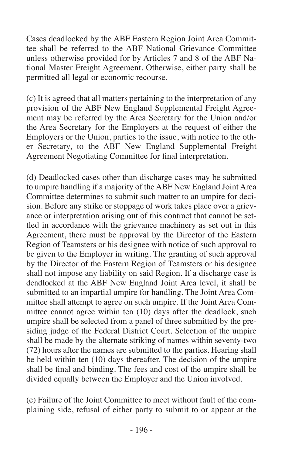Cases deadlocked by the ABF Eastern Region Joint Area Committee shall be referred to the ABF National Grievance Committee unless otherwise provided for by Articles 7 and 8 of the ABF National Master Freight Agreement. Otherwise, either party shall be permitted all legal or economic recourse.

(c) It is agreed that all matters pertaining to the interpretation of any provision of the ABF New England Supplemental Freight Agreement may be referred by the Area Secretary for the Union and/or the Area Secretary for the Employers at the request of either the Employers or the Union, parties to the issue, with notice to the other Secretary, to the ABF New England Supplemental Freight Agreement Negotiating Committee for final interpretation.

(d) Deadlocked cases other than discharge cases may be submitted to umpire handling if a majority of the ABF New England Joint Area Committee determines to submit such matter to an umpire for decision. Before any strike or stoppage of work takes place over a grievance or interpretation arising out of this contract that cannot be settled in accordance with the grievance machinery as set out in this Agreement, there must be approval by the Director of the Eastern Region of Teamsters or his designee with notice of such approval to be given to the Employer in writing. The granting of such approval by the Director of the Eastern Region of Teamsters or his designee shall not impose any liability on said Region. If a discharge case is deadlocked at the ABF New England Joint Area level, it shall be submitted to an impartial umpire for handling. The Joint Area Committee shall attempt to agree on such umpire. If the Joint Area Committee cannot agree within ten (10) days after the deadlock, such umpire shall be selected from a panel of three submitted by the presiding judge of the Federal District Court. Selection of the umpire shall be made by the alternate striking of names within seventy-two (72) hours after the names are submitted to the parties. Hearing shall be held within ten (10) days thereafter. The decision of the umpire shall be final and binding. The fees and cost of the umpire shall be divided equally between the Employer and the Union involved.

(e) Failure of the Joint Committee to meet without fault of the complaining side, refusal of either party to submit to or appear at the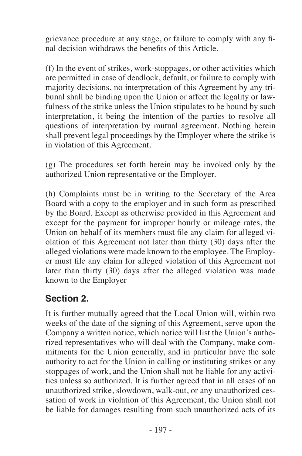grievance procedure at any stage, or failure to comply with any final decision withdraws the benefits of this Article.

(f) In the event of strikes, work-stoppages, or other activities which are permitted in case of deadlock, default, or failure to comply with majority decisions, no interpretation of this Agreement by any tribunal shall be binding upon the Union or affect the legality or lawfulness of the strike unless the Union stipulates to be bound by such interpretation, it being the intention of the parties to resolve all questions of interpretation by mutual agreement. Nothing herein shall prevent legal proceedings by the Employer where the strike is in violation of this Agreement.

(g) The procedures set forth herein may be invoked only by the authorized Union representative or the Employer.

(h) Complaints must be in writing to the Secretary of the Area Board with a copy to the employer and in such form as prescribed by the Board. Except as otherwise provided in this Agreement and except for the payment for improper hourly or mileage rates, the Union on behalf of its members must file any claim for alleged violation of this Agreement not later than thirty (30) days after the alleged violations were made known to the employee. The Employer must file any claim for alleged violation of this Agreement not later than thirty (30) days after the alleged violation was made known to the Employer

#### **Section 2.**

It is further mutually agreed that the Local Union will, within two weeks of the date of the signing of this Agreement, serve upon the Company a written notice, which notice will list the Union's authorized representatives who will deal with the Company, make commitments for the Union generally, and in particular have the sole authority to act for the Union in calling or instituting strikes or any stoppages of work, and the Union shall not be liable for any activities unless so authorized. It is further agreed that in all cases of an unauthorized strike, slowdown, walk-out, or any unauthorized cessation of work in violation of this Agreement, the Union shall not be liable for damages resulting from such unauthorized acts of its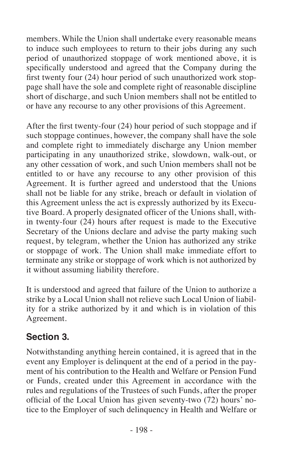members. While the Union shall undertake every reasonable means to induce such employees to return to their jobs during any such period of unauthorized stoppage of work mentioned above, it is specifically understood and agreed that the Company during the first twenty four (24) hour period of such unauthorized work stoppage shall have the sole and complete right of reasonable discipline short of discharge, and such Union members shall not be entitled to or have any recourse to any other provisions of this Agreement.

After the first twenty-four (24) hour period of such stoppage and if such stoppage continues, however, the company shall have the sole and complete right to immediately discharge any Union member participating in any unauthorized strike, slowdown, walk-out, or any other cessation of work, and such Union members shall not be entitled to or have any recourse to any other provision of this Agreement. It is further agreed and understood that the Unions shall not be liable for any strike, breach or default in violation of this Agreement unless the act is expressly authorized by its Executive Board. A properly designated officer of the Unions shall, within twenty-four  $(24)$  hours after request is made to the Executive Secretary of the Unions declare and advise the party making such request, by telegram, whether the Union has authorized any strike or stoppage of work. The Union shall make immediate effort to terminate any strike or stoppage of work which is not authorized by it without assuming liability therefore.

It is understood and agreed that failure of the Union to authorize a strike by a Local Union shall not relieve such Local Union of liability for a strike authorized by it and which is in violation of this Agreement.

### **Section 3.**

Notwithstanding anything herein contained, it is agreed that in the event any Employer is delinquent at the end of a period in the payment of his contribution to the Health and Welfare or Pension Fund or Funds, created under this Agreement in accordance with the rules and regulations of the Trustees of such Funds, after the proper official of the Local Union has given seventy-two (72) hours' notice to the Employer of such delinquency in Health and Welfare or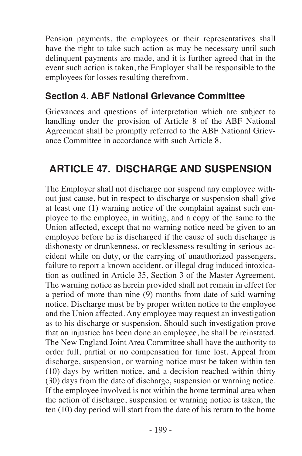Pension payments, the employees or their representatives shall have the right to take such action as may be necessary until such delinquent payments are made, and it is further agreed that in the event such action is taken, the Employer shall be responsible to the employees for losses resulting therefrom.

#### **Section 4. ABF National Grievance Committee**

Grievances and questions of interpretation which are subject to handling under the provision of Article 8 of the ABF National Agreement shall be promptly referred to the ABF National Grievance Committee in accordance with such Article 8.

# **ARTICLE 47. DISCHARGE AND SUSPENSION**

The Employer shall not discharge nor suspend any employee without just cause, but in respect to discharge or suspension shall give at least one (1) warning notice of the complaint against such employee to the employee, in writing, and a copy of the same to the Union affected, except that no warning notice need be given to an employee before he is discharged if the cause of such discharge is dishonesty or drunkenness, or recklessness resulting in serious accident while on duty, or the carrying of unauthorized passengers, failure to report a known accident, or illegal drug induced intoxication as outlined in Article 35, Section 3 of the Master Agreement. The warning notice as herein provided shall not remain in effect for a period of more than nine  $(\dot{9})$  months from date of said warning notice. Discharge must be by proper written notice to the employee and the Union affected. Any employee may request an investigation as to his discharge or suspension. Should such investigation prove that an injustice has been done an employee, he shall be reinstated. The New England Joint Area Committee shall have the authority to order full, partial or no compensation for time lost. Appeal from discharge, suspension, or warning notice must be taken within ten (10) days by written notice, and a decision reached within thirty (30) days from the date of discharge, suspension or warning notice. If the employee involved is not within the home terminal area when the action of discharge, suspension or warning notice is taken, the ten (10) day period will start from the date of his return to the home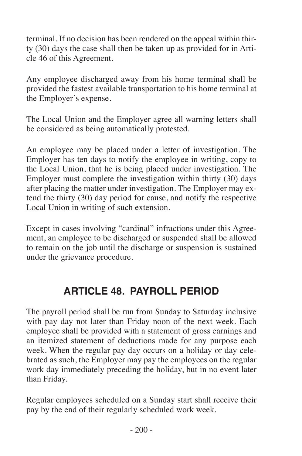terminal. If no decision has been rendered on the appeal within thirty (30) days the case shall then be taken up as provided for in Article 46 of this Agreement.

Any employee discharged away from his home terminal shall be provided the fastest available transportation to his home terminal at the Employer's expense.

The Local Union and the Employer agree all warning letters shall be considered as being automatically protested.

An employee may be placed under a letter of investigation. The Employer has ten days to notify the employee in writing, copy to the Local Union, that he is being placed under investigation. The Employer must complete the investigation within thirty (30) days after placing the matter under investigation. The Employer may extend the thirty (30) day period for cause, and notify the respective Local Union in writing of such extension.

Except in cases involving "cardinal" infractions under this Agreement, an employee to be discharged or suspended shall be allowed to remain on the job until the discharge or suspension is sustained under the grievance procedure.

# **ARTICLE 48. PAYROLL PERIOD**

The payroll period shall be run from Sunday to Saturday inclusive with pay day not later than Friday noon of the next week. Each employee shall be provided with a statement of gross earnings and an itemized statement of deductions made for any purpose each week. When the regular pay day occurs on a holiday or day celebrated as such, the Employer may pay the employees on the regular work day immediately preceding the holiday, but in no event later than Friday.

Regular employees scheduled on a Sunday start shall receive their pay by the end of their regularly scheduled work week.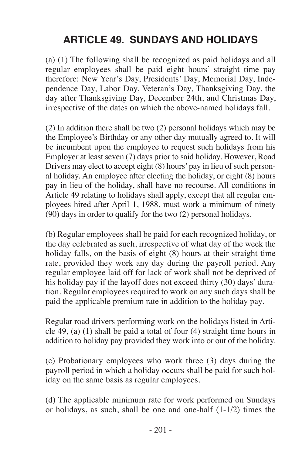# **ARTICLE 49. SUNDAYS AND HOLIDAYS**

(a) (1) The following shall be recognized as paid holidays and all regular employees shall be paid eight hours' straight time pay therefore: New Year's Day, Presidents' Day, Memorial Day, Independence Day, Labor Day, Veteran's Day, Thanksgiving Day, the day after Thanksgiving Day, December 24th, and Christmas Day, irrespective of the dates on which the above-named holidays fall.

(2) In addition there shall be two (2) personal holidays which may be the Employee's Birthday or any other day mutually agreed to. It will be incumbent upon the employee to request such holidays from his Employer at least seven (7) days prior to said holiday. However, Road Drivers may elect to accept eight (8) hours' pay in lieu of such personal holiday. An employee after electing the holiday, or eight (8) hours pay in lieu of the holiday, shall have no recourse. All conditions in Article 49 relating to holidays shall apply, except that all regular employees hired after April 1, 1988, must work a minimum of ninety (90) days in order to qualify for the two (2) personal holidays.

(b) Regular employees shall be paid for each recognized holiday, or the day celebrated as such, irrespective of what day of the week the holiday falls, on the basis of eight (8) hours at their straight time rate, provided they work any day during the payroll period. Any regular employee laid off for lack of work shall not be deprived of his holiday pay if the layoff does not exceed thirty (30) days' duration. Regular employees required to work on any such days shall be paid the applicable premium rate in addition to the holiday pay.

Regular road drivers performing work on the holidays listed in Article 49, (a) (1) shall be paid a total of four (4) straight time hours in addition to holiday pay provided they work into or out of the holiday.

(c) Probationary employees who work three (3) days during the payroll period in which a holiday occurs shall be paid for such holiday on the same basis as regular employees.

(d) The applicable minimum rate for work performed on Sundays or holidays, as such, shall be one and one-half (1-1/2) times the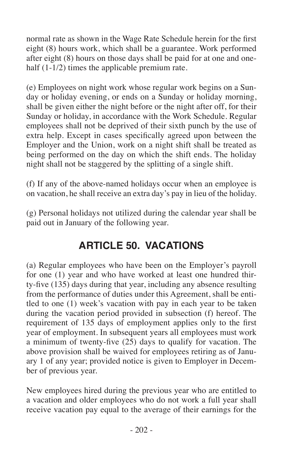normal rate as shown in the Wage Rate Schedule herein for the first eight (8) hours work, which shall be a guarantee. Work performed after eight (8) hours on those days shall be paid for at one and onehalf (1-1/2) times the applicable premium rate.

(e) Employees on night work whose regular work begins on a Sunday or holiday evening, or ends on a Sunday or holiday morning, shall be given either the night before or the night after off, for their Sunday or holiday, in accordance with the Work Schedule. Regular employees shall not be deprived of their sixth punch by the use of extra help. Except in cases specifically agreed upon between the Employer and the Union, work on a night shift shall be treated as being performed on the day on which the shift ends. The holiday night shall not be staggered by the splitting of a single shift.

(f) If any of the above-named holidays occur when an employee is on vacation, he shall receive an extra day's pay in lieu of the holiday.

(g) Personal holidays not utilized during the calendar year shall be paid out in January of the following year.

# **ARTICLE 50. VACATIONS**

(a) Regular employees who have been on the Employer's payroll for one (1) year and who have worked at least one hundred thirty-five (135) days during that year, including any absence resulting from the performance of duties under this Agreement, shall be entitled to one (1) week's vacation with pay in each year to be taken during the vacation period provided in subsection (f) hereof. The requirement of 135 days of employment applies only to the first year of employment. In subsequent years all employees must work a minimum of twenty-five (25) days to qualify for vacation. The above provision shall be waived for employees retiring as of January 1 of any year; provided notice is given to Employer in December of previous year.

New employees hired during the previous year who are entitled to a vacation and older employees who do not work a full year shall receive vacation pay equal to the average of their earnings for the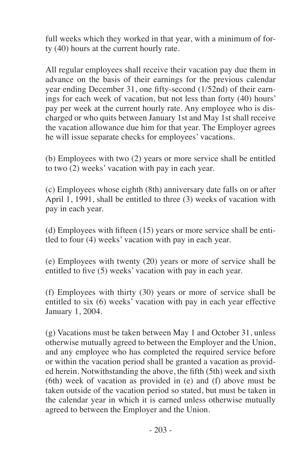full weeks which they worked in that year, with a minimum of forty (40) hours at the current hourly rate.

All regular employees shall receive their vacation pay due them in advance on the basis of their earnings for the previous calendar year ending December 31, one fifty-second  $(1/52nd)$  of their earnings for each week of vacation, but not less than forty (40) hours' pay per week at the current hourly rate. Any employee who is discharged or who quits between January 1st and May 1st shall receive the vacation allowance due him for that year. The Employer agrees he will issue separate checks for employees' vacations.

(b) Employees with two (2) years or more service shall be entitled to two (2) weeks' vacation with pay in each year.

(c) Employees whose eighth (8th) anniversary date falls on or after April 1, 1991, shall be entitled to three (3) weeks of vacation with pay in each year.

(d) Employees with fifteen (15) years or more service shall be entitled to four (4) weeks' vacation with pay in each year.

(e) Employees with twenty (20) years or more of service shall be entitled to five (5) weeks' vacation with pay in each year.

(f) Employees with thirty (30) years or more of service shall be entitled to six (6) weeks' vacation with pay in each year effective January 1, 2004.

(g) Vacations must be taken between May 1 and October 31, unless otherwise mutually agreed to between the Employer and the Union, and any employee who has completed the required service before or within the vacation period shall be granted a vacation as provided herein. Notwithstanding the above, the fifth (5th) week and sixth (6th) week of vacation as provided in (e) and (f) above must be taken outside of the vacation period so stated, but must be taken in the calendar year in which it is earned unless otherwise mutually agreed to between the Employer and the Union.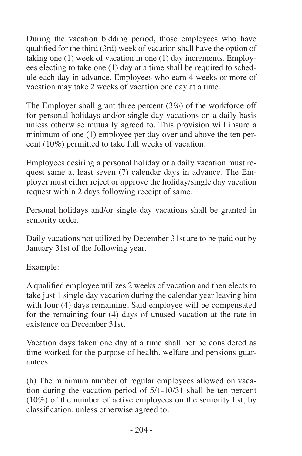During the vacation bidding period, those employees who have qualified for the third (3rd) week of vacation shall have the option of taking one (1) week of vacation in one (1) day increments. Employees electing to take one (1) day at a time shall be required to schedule each day in advance. Employees who earn 4 weeks or more of vacation may take 2 weeks of vacation one day at a time.

The Employer shall grant three percent (3%) of the workforce off for personal holidays and/or single day vacations on a daily basis unless otherwise mutually agreed to. This provision will insure a minimum of one (1) employee per day over and above the ten percent (10%) permitted to take full weeks of vacation.

Employees desiring a personal holiday or a daily vacation must request same at least seven (7) calendar days in advance. The Employer must either reject or approve the holiday/single day vacation request within 2 days following receipt of same.

Personal holidays and/or single day vacations shall be granted in seniority order.

Daily vacations not utilized by December 31st are to be paid out by January 31st of the following year.

Example:

A qualified employee utilizes 2 weeks of vacation and then elects to take just 1 single day vacation during the calendar year leaving him with four (4) days remaining. Said employee will be compensated for the remaining four (4) days of unused vacation at the rate in existence on December 31st.

Vacation days taken one day at a time shall not be considered as time worked for the purpose of health, welfare and pensions guarantees.

(h) The minimum number of regular employees allowed on vacation during the vacation period of  $5/1-10/31$  shall be ten percent (10%) of the number of active employees on the seniority list, by classification, unless otherwise agreed to.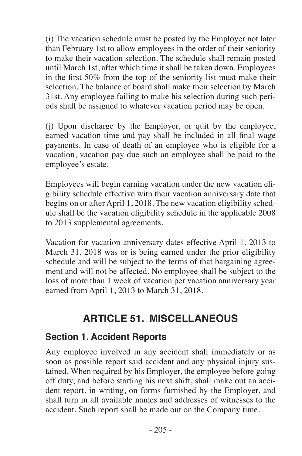(i) The vacation schedule must be posted by the Employer not later than February 1st to allow employees in the order of their seniority to make their vacation selection. The schedule shall remain posted until March 1st, after which time it shall be taken down. Employees in the first 50% from the top of the seniority list must make their selection. The balance of board shall make their selection by March 31st. Any employee failing to make his selection during such periods shall be assigned to whatever vacation period may be open.

(j) Upon discharge by the Employer, or quit by the employee, earned vacation time and pay shall be included in all final wage payments. In case of death of an employee who is eligible for a vacation, vacation pay due such an employee shall be paid to the employee's estate.

Employees will begin earning vacation under the new vacation eligibility schedule effective with their vacation anniversary date that begins on or after April 1, 2018. The new vacation eligibility schedule shall be the vacation eligibility schedule in the applicable 2008 to 2013 supplemental agreements.

Vacation for vacation anniversary dates effective April 1, 2013 to March 31, 2018 was or is being earned under the prior eligibility schedule and will be subject to the terms of that bargaining agreement and will not be affected. No employee shall be subject to the loss of more than 1 week of vacation per vacation anniversary year earned from April 1, 2013 to March 31, 2018.

# **ARTICLE 51. MISCELLANEOUS**

#### **Section 1. Accident Reports**

Any employee involved in any accident shall immediately or as soon as possible report said accident and any physical injury sustained. When required by his Employer, the employee before going off duty, and before starting his next shift, shall make out an accident report, in writing, on forms furnished by the Employer, and shall turn in all available names and addresses of witnesses to the accident. Such report shall be made out on the Company time.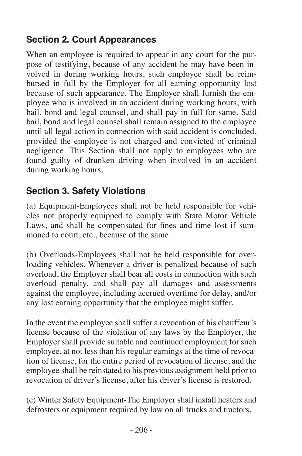### **Section 2. Court Appearances**

When an employee is required to appear in any court for the purpose of testifying, because of any accident he may have been involved in during working hours, such employee shall be reimbursed in full by the Employer for all earning opportunity lost because of such appearance. The Employer shall furnish the employee who is involved in an accident during working hours, with bail, bond and legal counsel, and shall pay in full for same. Said bail, bond and legal counsel shall remain assigned to the employee until all legal action in connection with said accident is concluded. provided the employee is not charged and convicted of criminal negligence. This Section shall not apply to employees who are found guilty of drunken driving when involved in an accident during working hours.

### **Section 3. Safety Violations**

(a) Equipment-Employees shall not be held responsible for vehicles not properly equipped to comply with State Motor Vehicle Laws, and shall be compensated for fines and time lost if summoned to court, etc., because of the same.

(b) Overloads-Employees shall not be held responsible for overloading vehicles. Whenever a driver is penalized because of such overload, the Employer shall bear all costs in connection with such overload penalty, and shall pay all damages and assessments against the employee, including accrued overtime for delay, and/or any lost earning opportunity that the employee might suffer.

In the event the employee shall suffer a revocation of his chauffeur's license because of the violation of any laws by the Employer, the Employer shall provide suitable and continued employment for such employee, at not less than his regular earnings at the time of revocation of license, for the entire period of revocation of license, and the employee shall be reinstated to his previous assignment held prior to revocation of driver's license, after his driver's license is restored.

(c) Winter Safety Equipment-The Employer shall install heaters and defrosters or equipment required by law on all trucks and tractors.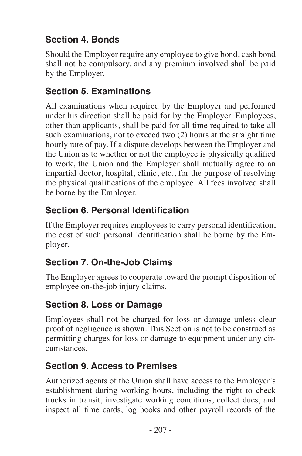# **Section 4. Bonds**

Should the Employer require any employee to give bond, cash bond shall not be compulsory, and any premium involved shall be paid by the Employer.

### **Section 5. Examinations**

All examinations when required by the Employer and performed under his direction shall be paid for by the Employer. Employees, other than applicants, shall be paid for all time required to take all such examinations, not to exceed two (2) hours at the straight time hourly rate of pay. If a dispute develops between the Employer and the Union as to whether or not the employee is physically qualified to work, the Union and the Employer shall mutually agree to an impartial doctor, hospital, clinic, etc., for the purpose of resolving the physical qualifications of the employee. All fees involved shall be borne by the Employer.

### **Section 6. Personal Identification**

If the Employer requires employees to carry personal identification, the cost of such personal identification shall be borne by the Employer.

# **Section 7. On-the-Job Claims**

The Employer agrees to cooperate toward the prompt disposition of employee on-the-job injury claims.

#### **Section 8. Loss or Damage**

Employees shall not be charged for loss or damage unless clear proof of negligence is shown. This Section is not to be construed as permitting charges for loss or damage to equipment under any circumstances.

#### **Section 9. Access to Premises**

Authorized agents of the Union shall have access to the Employer's establishment during working hours, including the right to check trucks in transit, investigate working conditions, collect dues, and inspect all time cards, log books and other payroll records of the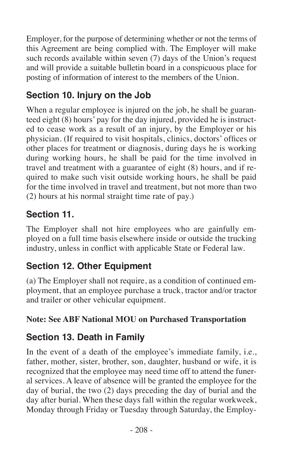Employer, for the purpose of determining whether or not the terms of this Agreement are being complied with. The Employer will make such records available within seven (7) days of the Union's request and will provide a suitable bulletin board in a conspicuous place for posting of information of interest to the members of the Union.

# **Section 10. Injury on the Job**

When a regular employee is injured on the job, he shall be guaranteed eight (8) hours' pay for the day injured, provided he is instructed to cease work as a result of an injury, by the Employer or his physician. (If required to visit hospitals, clinics, doctors' offices or other places for treatment or diagnosis, during days he is working during working hours, he shall be paid for the time involved in travel and treatment with a guarantee of eight (8) hours, and if required to make such visit outside working hours, he shall be paid for the time involved in travel and treatment, but not more than two (2) hours at his normal straight time rate of pay.)

#### **Section 11.**

The Employer shall not hire employees who are gainfully employed on a full time basis elsewhere inside or outside the trucking industry, unless in conflict with applicable State or Federal law.

#### **Section 12. Other Equipment**

(a) The Employer shall not require, as a condition of continued employment, that an employee purchase a truck, tractor and/or tractor and trailer or other vehicular equipment.

#### **Note: See ABF National MOU on Purchased Transportation**

#### **Section 13. Death in Family**

In the event of a death of the employee's immediate family, i.e., father, mother, sister, brother, son, daughter, husband or wife, it is recognized that the employee may need time off to attend the funeral services. A leave of absence will be granted the employee for the day of burial, the two (2) days preceding the day of burial and the day after burial. When these days fall within the regular workweek, Monday through Friday or Tuesday through Saturday, the Employ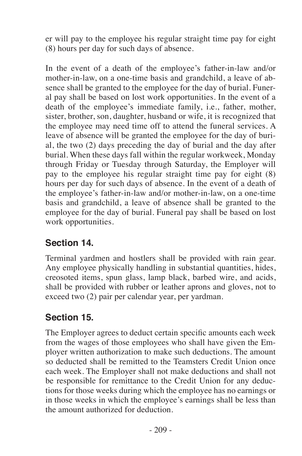er will pay to the employee his regular straight time pay for eight (8) hours per day for such days of absence.

In the event of a death of the employee's father-in-law and/or mother-in-law, on a one-time basis and grandchild, a leave of absence shall be granted to the employee for the day of burial. Funeral pay shall be based on lost work opportunities. In the event of a death of the employee's immediate family, i.e., father, mother, sister, brother, son, daughter, husband or wife, it is recognized that the employee may need time off to attend the funeral services. A leave of absence will be granted the employee for the day of burial, the two (2) days preceding the day of burial and the day after burial. When these days fall within the regular workweek, Monday through Friday or Tuesday through Saturday, the Employer will pay to the employee his regular straight time pay for eight (8) hours per day for such days of absence. In the event of a death of the employee's father-in-law and/or mother-in-law, on a one-time basis and grandchild, a leave of absence shall be granted to the employee for the day of burial. Funeral pay shall be based on lost work opportunities.

#### **Section 14.**

Terminal yardmen and hostlers shall be provided with rain gear. Any employee physically handling in substantial quantities, hides, creosoted items, spun glass, lamp black, barbed wire, and acids, shall be provided with rubber or leather aprons and gloves, not to exceed two (2) pair per calendar year, per yardman.

#### **Section 15.**

The Employer agrees to deduct certain specific amounts each week from the wages of those employees who shall have given the Employer written authorization to make such deductions. The amount so deducted shall be remitted to the Teamsters Credit Union once each week. The Employer shall not make deductions and shall not be responsible for remittance to the Credit Union for any deductions for those weeks during which the employee has no earnings or in those weeks in which the employee's earnings shall be less than the amount authorized for deduction.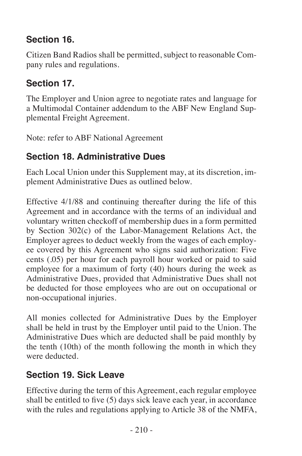### **Section 16.**

Citizen Band Radios shall be permitted, subject to reasonable Company rules and regulations.

### **Section 17.**

The Employer and Union agree to negotiate rates and language for a Multimodal Container addendum to the ABF New England Supplemental Freight Agreement.

Note: refer to ABF National Agreement

### **Section 18. Administrative Dues**

Each Local Union under this Supplement may, at its discretion, implement Administrative Dues as outlined below.

Effective 4/1/88 and continuing thereafter during the life of this Agreement and in accordance with the terms of an individual and voluntary written checkoff of membership dues in a form permitted by Section 302(c) of the Labor-Management Relations Act, the Employer agrees to deduct weekly from the wages of each employee covered by this Agreement who signs said authorization: Five cents (.05) per hour for each payroll hour worked or paid to said employee for a maximum of forty (40) hours during the week as Administrative Dues, provided that Administrative Dues shall not be deducted for those employees who are out on occupational or non-occupational injuries.

All monies collected for Administrative Dues by the Employer shall be held in trust by the Employer until paid to the Union. The Administrative Dues which are deducted shall be paid monthly by the tenth (10th) of the month following the month in which they were deducted.

# **Section 19. Sick Leave**

Effective during the term of this Agreement, each regular employee shall be entitled to five (5) days sick leave each year, in accordance with the rules and regulations applying to Article 38 of the NMFA,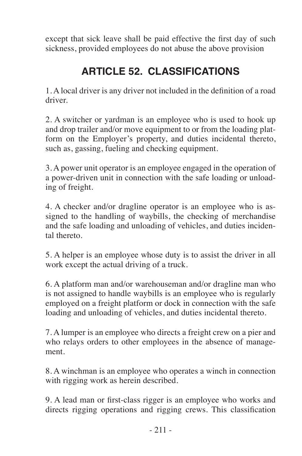except that sick leave shall be paid effective the first day of such sickness, provided employees do not abuse the above provision

# **ARTICLE 52. CLASSIFICATIONS**

1. A local driver is any driver not included in the definition of a road driver.

2. A switcher or yardman is an employee who is used to hook up and drop trailer and/or move equipment to or from the loading platform on the Employer's property, and duties incidental thereto, such as, gassing, fueling and checking equipment.

3. A power unit operator is an employee engaged in the operation of a power-driven unit in connection with the safe loading or unloading of freight.

4. A checker and/or dragline operator is an employee who is assigned to the handling of waybills, the checking of merchandise and the safe loading and unloading of vehicles, and duties incidental thereto.

5. A helper is an employee whose duty is to assist the driver in all work except the actual driving of a truck.

6. A platform man and/or warehouseman and/or dragline man who is not assigned to handle waybills is an employee who is regularly employed on a freight platform or dock in connection with the safe loading and unloading of vehicles, and duties incidental thereto.

7. A lumper is an employee who directs a freight crew on a pier and who relays orders to other employees in the absence of management.

8. A winchman is an employee who operates a winch in connection with rigging work as herein described.

9. A lead man or first-class rigger is an employee who works and directs rigging operations and rigging crews. This classification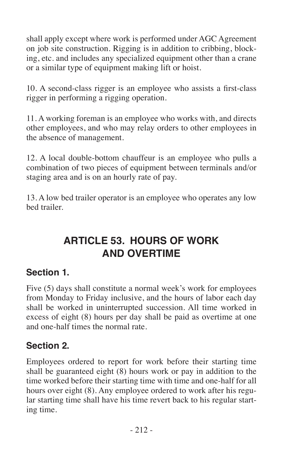shall apply except where work is performed under AGC Agreement on job site construction. Rigging is in addition to cribbing, blocking, etc. and includes any specialized equipment other than a crane or a similar type of equipment making lift or hoist.

10. A second-class rigger is an employee who assists a first-class rigger in performing a rigging operation.

11. A working foreman is an employee who works with, and directs other employees, and who may relay orders to other employees in the absence of management.

12. A local double-bottom chauffeur is an employee who pulls a combination of two pieces of equipment between terminals and/or staging area and is on an hourly rate of pay.

13. A low bed trailer operator is an employee who operates any low bed trailer.

# **ARTICLE 53. HOURS OF WORK AND OVERTIME**

#### **Section 1.**

Five (5) days shall constitute a normal week's work for employees from Monday to Friday inclusive, and the hours of labor each day shall be worked in uninterrupted succession. All time worked in excess of eight (8) hours per day shall be paid as overtime at one and one-half times the normal rate.

#### **Section 2.**

Employees ordered to report for work before their starting time shall be guaranteed eight (8) hours work or pay in addition to the time worked before their starting time with time and one-half for all hours over eight (8). Any employee ordered to work after his regular starting time shall have his time revert back to his regular starting time.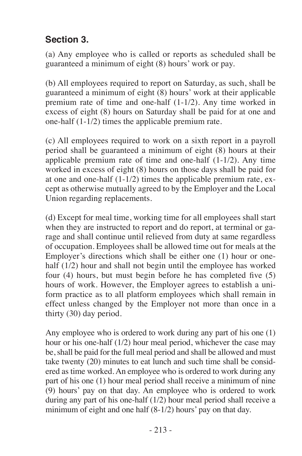#### **Section 3.**

(a) Any employee who is called or reports as scheduled shall be guaranteed a minimum of eight (8) hours' work or pay.

(b) All employees required to report on Saturday, as such, shall be guaranteed a minimum of eight (8) hours' work at their applicable premium rate of time and one-half (1-1/2). Any time worked in excess of eight (8) hours on Saturday shall be paid for at one and one-half (1-1/2) times the applicable premium rate.

(c) All employees required to work on a sixth report in a payroll period shall be guaranteed a minimum of eight (8) hours at their applicable premium rate of time and one-half (1-1/2). Any time worked in excess of eight (8) hours on those days shall be paid for at one and one-half (1-1/2) times the applicable premium rate, except as otherwise mutually agreed to by the Employer and the Local Union regarding replacements.

(d) Except for meal time, working time for all employees shall start when they are instructed to report and do report, at terminal or garage and shall continue until relieved from duty at same regardless of occupation. Employees shall be allowed time out for meals at the Employer's directions which shall be either one (1) hour or onehalf (1/2) hour and shall not begin until the employee has worked four (4) hours, but must begin before he has completed five (5) hours of work. However, the Employer agrees to establish a uniform practice as to all platform employees which shall remain in effect unless changed by the Employer not more than once in a thirty (30) day period.

Any employee who is ordered to work during any part of his one (1) hour or his one-half (1/2) hour meal period, whichever the case may be, shall be paid for the full meal period and shall be allowed and must take twenty (20) minutes to eat lunch and such time shall be considered as time worked. An employee who is ordered to work during any part of his one (1) hour meal period shall receive a minimum of nine (9) hours' pay on that day. An employee who is ordered to work during any part of his one-half (1/2) hour meal period shall receive a minimum of eight and one half (8-1/2) hours' pay on that day.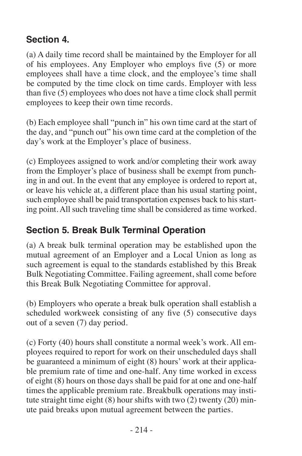#### **Section 4.**

(a) A daily time record shall be maintained by the Employer for all of his employees. Any Employer who employs five (5) or more employees shall have a time clock, and the employee's time shall be computed by the time clock on time cards. Employer with less than five (5) employees who does not have a time clock shall permit employees to keep their own time records.

(b) Each employee shall "punch in" his own time card at the start of the day, and "punch out" his own time card at the completion of the day's work at the Employer's place of business.

(c) Employees assigned to work and/or completing their work away from the Employer's place of business shall be exempt from punching in and out. In the event that any employee is ordered to report at, or leave his vehicle at, a different place than his usual starting point, such employee shall be paid transportation expenses back to his starting point. All such traveling time shall be considered as time worked.

### **Section 5. Break Bulk Terminal Operation**

(a) A break bulk terminal operation may be established upon the mutual agreement of an Employer and a Local Union as long as such agreement is equal to the standards established by this Break Bulk Negotiating Committee. Failing agreement, shall come before this Break Bulk Negotiating Committee for approval.

(b) Employers who operate a break bulk operation shall establish a scheduled workweek consisting of any five (5) consecutive days out of a seven (7) day period.

(c) Forty (40) hours shall constitute a normal week's work. All employees required to report for work on their unscheduled days shall be guaranteed a minimum of eight (8) hours' work at their applicable premium rate of time and one-half. Any time worked in excess of eight (8) hours on those days shall be paid for at one and one-half times the applicable premium rate. Breakbulk operations may institute straight time eight  $(8)$  hour shifts with two  $(2)$  twenty  $(20)$  minute paid breaks upon mutual agreement between the parties.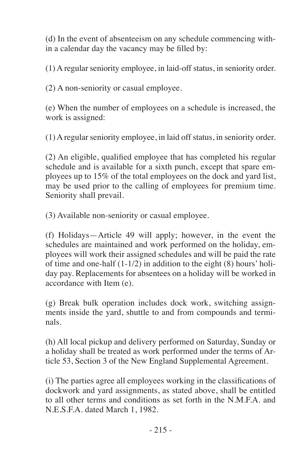(d) In the event of absenteeism on any schedule commencing within a calendar day the vacancy may be filled by:

(1) A regular seniority employee, in laid-off status, in seniority order.

(2) A non-seniority or casual employee.

(e) When the number of employees on a schedule is increased, the work is assigned:

(1) A regular seniority employee, in laid off status, in seniority order.

(2) An eligible, qualified employee that has completed his regular schedule and is available for a sixth punch, except that spare employees up to 15% of the total employees on the dock and yard list, may be used prior to the calling of employees for premium time. Seniority shall prevail.

(3) Available non-seniority or casual employee.

(f) Holidays—Article 49 will apply; however, in the event the schedules are maintained and work performed on the holiday, employees will work their assigned schedules and will be paid the rate of time and one-half  $(1-1/2)$  in addition to the eight  $(8)$  hours' holiday pay. Replacements for absentees on a holiday will be worked in accordance with Item (e).

(g) Break bulk operation includes dock work, switching assignments inside the yard, shuttle to and from compounds and terminals.

(h) All local pickup and delivery performed on Saturday, Sunday or a holiday shall be treated as work performed under the terms of Article 53, Section 3 of the New England Supplemental Agreement.

(i) The parties agree all employees working in the classifications of dockwork and yard assignments, as stated above, shall be entitled to all other terms and conditions as set forth in the N.M.F.A. and N.E.S.F.A. dated March 1, 1982.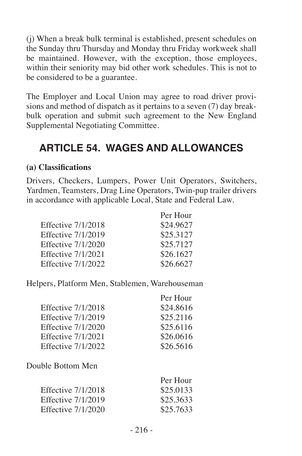(j) When a break bulk terminal is established, present schedules on the Sunday thru Thursday and Monday thru Friday workweek shall be maintained. However, with the exception, those employees, within their seniority may bid other work schedules. This is not to be considered to be a guarantee.

The Employer and Local Union may agree to road driver provisions and method of dispatch as it pertains to a seven (7) day breakbulk operation and submit such agreement to the New England Supplemental Negotiating Committee.

# **ARTICLE 54. WAGES AND ALLOWANCES**

#### **(a) Classifications**

Drivers, Checkers, Lumpers, Power Unit Operators, Switchers, Yardmen, Teamsters, Drag Line Operators, Twin-pup trailer drivers in accordance with applicable Local, State and Federal Law.

|                    | Per Hour  |
|--------------------|-----------|
| Effective 7/1/2018 | \$24.9627 |
| Effective 7/1/2019 | \$25,3127 |
| Effective 7/1/2020 | \$25,7127 |
| Effective 7/1/2021 | \$26.1627 |
| Effective 7/1/2022 | \$26.6627 |

Helpers, Platform Men, Stablemen, Warehouseman

|                           | Per Hour  |
|---------------------------|-----------|
| <b>Effective 7/1/2018</b> | \$24.8616 |
| <b>Effective 7/1/2019</b> | \$25.2116 |
| Effective 7/1/2020        | \$25.6116 |
| <b>Effective 7/1/2021</b> | \$26.0616 |
| <b>Effective 7/1/2022</b> | \$26.5616 |
| Double Bottom Men         |           |
|                           | Per Hour  |
| <b>Effective 7/1/2018</b> | \$25.0133 |
| <b>Effective 7/1/2019</b> | \$25.3633 |
| Effective 7/1/2020        | \$25.7633 |
|                           |           |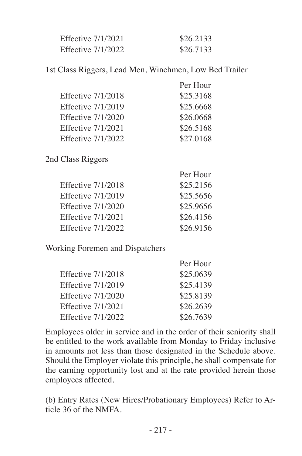| Effective 7/1/2021 | \$26,2133 |
|--------------------|-----------|
| Effective 7/1/2022 | \$26,7133 |

1st Class Riggers, Lead Men, Winchmen, Low Bed Trailer

| Per Hour  |
|-----------|
| \$25.3168 |
| \$25.6668 |
| \$26,0668 |
| \$26,5168 |
| \$27,0168 |
|           |

2nd Class Riggers

|                           | Per Hour  |
|---------------------------|-----------|
| <b>Effective 7/1/2018</b> | \$25,2156 |
| Effective 7/1/2019        | \$25.5656 |
| Effective 7/1/2020        | \$25,9656 |
| Effective 7/1/2021        | \$26,4156 |
| <b>Effective 7/1/2022</b> | \$26,9156 |

Working Foremen and Dispatchers

|                           | Per Hour  |
|---------------------------|-----------|
| <b>Effective 7/1/2018</b> | \$25,0639 |
| Effective 7/1/2019        | \$25,4139 |
| Effective 7/1/2020        | \$25,8139 |
| Effective 7/1/2021        | \$26.2639 |
| Effective 7/1/2022        | \$26,7639 |

Employees older in service and in the order of their seniority shall be entitled to the work available from Monday to Friday inclusive in amounts not less than those designated in the Schedule above. Should the Employer violate this principle, he shall compensate for the earning opportunity lost and at the rate provided herein those employees affected.

(b) Entry Rates (New Hires/Probationary Employees) Refer to Article 36 of the NMFA.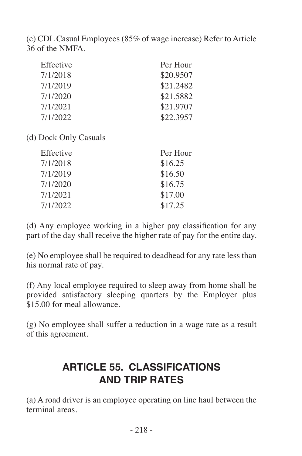(c) CDL Casual Employees (85% of wage increase) Refer to Article 36 of the NMFA.

| Effective | Per Hour  |
|-----------|-----------|
| 7/1/2018  | \$20.9507 |
| 7/1/2019  | \$21.2482 |
| 7/1/2020  | \$21.5882 |
| 7/1/2021  | \$21,9707 |
| 7/1/2022  | \$22,3957 |

(d) Dock Only Casuals

| Effective | Per Hour |
|-----------|----------|
| 7/1/2018  | \$16.25  |
| 7/1/2019  | \$16.50  |
| 7/1/2020  | \$16.75  |
| 7/1/2021  | \$17.00  |
| 7/1/2022  | \$17.25  |

(d) Any employee working in a higher pay classification for any part of the day shall receive the higher rate of pay for the entire day.

(e) No employee shall be required to deadhead for any rate less than his normal rate of pay.

(f) Any local employee required to sleep away from home shall be provided satisfactory sleeping quarters by the Employer plus \$15.00 for meal allowance.

(g) No employee shall suffer a reduction in a wage rate as a result of this agreement.

# **ARTICLE 55. CLASSIFICATIONS AND TRIP RATES**

(a) A road driver is an employee operating on line haul between the terminal areas.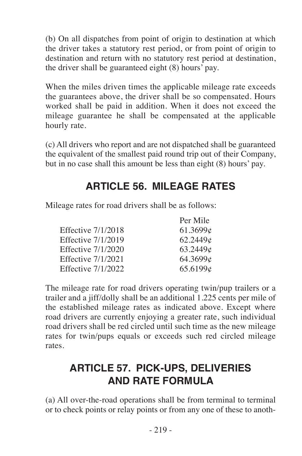(b) On all dispatches from point of origin to destination at which the driver takes a statutory rest period, or from point of origin to destination and return with no statutory rest period at destination, the driver shall be guaranteed eight (8) hours' pay.

When the miles driven times the applicable mileage rate exceeds the guarantees above, the driver shall be so compensated. Hours worked shall be paid in addition. When it does not exceed the mileage guarantee he shall be compensated at the applicable hourly rate.

(c) All drivers who report and are not dispatched shall be guaranteed the equivalent of the smallest paid round trip out of their Company, but in no case shall this amount be less than eight (8) hours' pay.

# **ARTICLE 56. MILEAGE RATES**

Per Mile

Mileage rates for road drivers shall be as follows:

| 61.3699c |
|----------|
| 62.2449¢ |
| 63.2449c |
| 64.3699c |
| 65.6199¢ |
|          |

The mileage rate for road drivers operating twin/pup trailers or a trailer and a jiff/dolly shall be an additional 1.225 cents per mile of the established mileage rates as indicated above. Except where road drivers are currently enjoying a greater rate, such individual road drivers shall be red circled until such time as the new mileage rates for twin/pups equals or exceeds such red circled mileage rates.

# **ARTICLE 57. PICK-UPS, DELIVERIES AND RATE FORMULA**

(a) All over-the-road operations shall be from terminal to terminal or to check points or relay points or from any one of these to anoth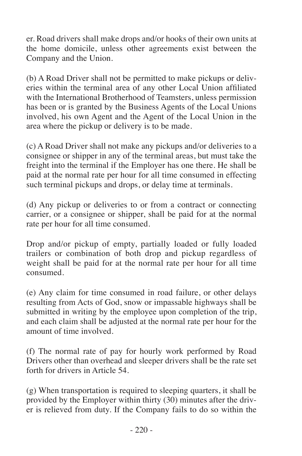er. Road drivers shall make drops and/or hooks of their own units at the home domicile, unless other agreements exist between the Company and the Union.

(b) A Road Driver shall not be permitted to make pickups or deliveries within the terminal area of any other Local Union affiliated with the International Brotherhood of Teamsters, unless permission has been or is granted by the Business Agents of the Local Unions involved, his own Agent and the Agent of the Local Union in the area where the pickup or delivery is to be made.

(c) A Road Driver shall not make any pickups and/or deliveries to a consignee or shipper in any of the terminal areas, but must take the freight into the terminal if the Employer has one there. He shall be paid at the normal rate per hour for all time consumed in effecting such terminal pickups and drops, or delay time at terminals.

(d) Any pickup or deliveries to or from a contract or connecting carrier, or a consignee or shipper, shall be paid for at the normal rate per hour for all time consumed.

Drop and/or pickup of empty, partially loaded or fully loaded trailers or combination of both drop and pickup regardless of weight shall be paid for at the normal rate per hour for all time consumed.

(e) Any claim for time consumed in road failure, or other delays resulting from Acts of God, snow or impassable highways shall be submitted in writing by the employee upon completion of the trip, and each claim shall be adjusted at the normal rate per hour for the amount of time involved.

(f) The normal rate of pay for hourly work performed by Road Drivers other than overhead and sleeper drivers shall be the rate set forth for drivers in Article 54.

(g) When transportation is required to sleeping quarters, it shall be provided by the Employer within thirty (30) minutes after the driver is relieved from duty. If the Company fails to do so within the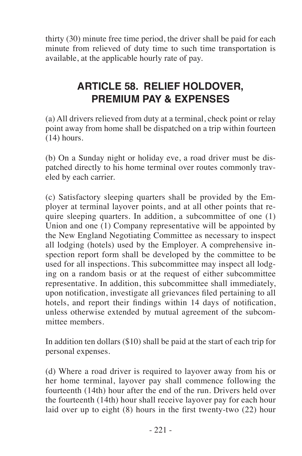thirty (30) minute free time period, the driver shall be paid for each minute from relieved of duty time to such time transportation is available, at the applicable hourly rate of pay.

# **ARTICLE 58. RELIEF HOLDOVER, PREMIUM PAY & EXPENSES**

(a) All drivers relieved from duty at a terminal, check point or relay point away from home shall be dispatched on a trip within fourteen (14) hours.

(b) On a Sunday night or holiday eve, a road driver must be dispatched directly to his home terminal over routes commonly traveled by each carrier.

(c) Satisfactory sleeping quarters shall be provided by the Employer at terminal layover points, and at all other points that require sleeping quarters. In addition, a subcommittee of one (1) Union and one (1) Company representative will be appointed by the New England Negotiating Committee as necessary to inspect all lodging (hotels) used by the Employer. A comprehensive inspection report form shall be developed by the committee to be used for all inspections. This subcommittee may inspect all lodging on a random basis or at the request of either subcommittee representative. In addition, this subcommittee shall immediately, upon notification, investigate all grievances filed pertaining to all hotels, and report their findings within 14 days of notification, unless otherwise extended by mutual agreement of the subcommittee members.

In addition ten dollars (\$10) shall be paid at the start of each trip for personal expenses.

(d) Where a road driver is required to layover away from his or her home terminal, layover pay shall commence following the fourteenth (14th) hour after the end of the run. Drivers held over the fourteenth (14th) hour shall receive layover pay for each hour laid over up to eight (8) hours in the first twenty-two (22) hour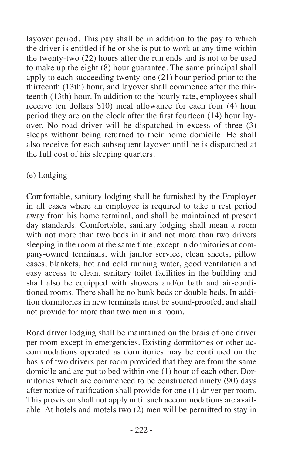layover period. This pay shall be in addition to the pay to which the driver is entitled if he or she is put to work at any time within the twenty-two (22) hours after the run ends and is not to be used to make up the eight (8) hour guarantee. The same principal shall apply to each succeeding twenty-one (21) hour period prior to the thirteenth (13th) hour, and layover shall commence after the thirteenth (13th) hour. In addition to the hourly rate, employees shall receive ten dollars \$10) meal allowance for each four (4) hour period they are on the clock after the first fourteen (14) hour layover. No road driver will be dispatched in excess of three (3) sleeps without being returned to their home domicile. He shall also receive for each subsequent layover until he is dispatched at the full cost of his sleeping quarters.

#### (e) Lodging

Comfortable, sanitary lodging shall be furnished by the Employer in all cases where an employee is required to take a rest period away from his home terminal, and shall be maintained at present day standards. Comfortable, sanitary lodging shall mean a room with not more than two beds in it and not more than two drivers sleeping in the room at the same time, except in dormitories at company-owned terminals, with janitor service, clean sheets, pillow cases, blankets, hot and cold running water, good ventilation and easy access to clean, sanitary toilet facilities in the building and shall also be equipped with showers and/or bath and air-conditioned rooms. There shall be no bunk beds or double beds. In addition dormitories in new terminals must be sound-proofed, and shall not provide for more than two men in a room.

Road driver lodging shall be maintained on the basis of one driver per room except in emergencies. Existing dormitories or other accommodations operated as dormitories may be continued on the basis of two drivers per room provided that they are from the same domicile and are put to bed within one (1) hour of each other. Dormitories which are commenced to be constructed ninety (90) days after notice of ratification shall provide for one (1) driver per room. This provision shall not apply until such accommodations are available. At hotels and motels two (2) men will be permitted to stay in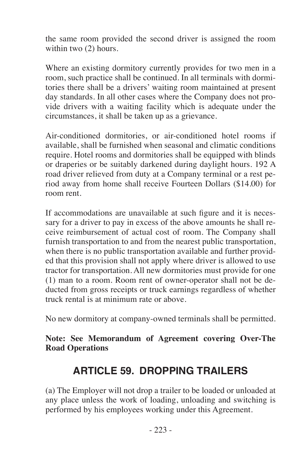the same room provided the second driver is assigned the room within two (2) hours.

Where an existing dormitory currently provides for two men in a room, such practice shall be continued. In all terminals with dormitories there shall be a drivers' waiting room maintained at present day standards. In all other cases where the Company does not provide drivers with a waiting facility which is adequate under the circumstances, it shall be taken up as a grievance.

Air-conditioned dormitories, or air-conditioned hotel rooms if available, shall be furnished when seasonal and climatic conditions require. Hotel rooms and dormitories shall be equipped with blinds or draperies or be suitably darkened during daylight hours. 192 A road driver relieved from duty at a Company terminal or a rest period away from home shall receive Fourteen Dollars (\$14.00) for room rent.

If accommodations are unavailable at such figure and it is necessary for a driver to pay in excess of the above amounts he shall receive reimbursement of actual cost of room. The Company shall furnish transportation to and from the nearest public transportation, when there is no public transportation available and further provided that this provision shall not apply where driver is allowed to use tractor for transportation. All new dormitories must provide for one (1) man to a room. Room rent of owner-operator shall not be deducted from gross receipts or truck earnings regardless of whether truck rental is at minimum rate or above.

No new dormitory at company-owned terminals shall be permitted.

#### **Note: See Memorandum of Agreement covering Over-The Road Operations**

# **ARTICLE 59. DROPPING TRAILERS**

(a) The Employer will not drop a trailer to be loaded or unloaded at any place unless the work of loading, unloading and switching is performed by his employees working under this Agreement.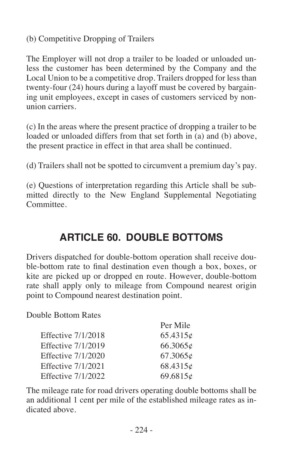(b) Competitive Dropping of Trailers

The Employer will not drop a trailer to be loaded or unloaded unless the customer has been determined by the Company and the Local Union to be a competitive drop. Trailers dropped for less than twenty-four (24) hours during a layoff must be covered by bargaining unit employees, except in cases of customers serviced by nonunion carriers.

(c) In the areas where the present practice of dropping a trailer to be loaded or unloaded differs from that set forth in (a) and (b) above, the present practice in effect in that area shall be continued.

(d) Trailers shall not be spotted to circumvent a premium day's pay.

(e) Questions of interpretation regarding this Article shall be submitted directly to the New England Supplemental Negotiating Committee.

# **ARTICLE 60. DOUBLE BOTTOMS**

Drivers dispatched for double-bottom operation shall receive double-bottom rate to final destination even though a box, boxes, or kite are picked up or dropped en route. However, double-bottom rate shall apply only to mileage from Compound nearest origin point to Compound nearest destination point.

Double Bottom Rates

|                    | Per Mile |
|--------------------|----------|
| Effective 7/1/2018 | 65.4315c |
| Effective 7/1/2019 | 66.3065c |
| Effective 7/1/2020 | 67.3065c |
| Effective 7/1/2021 | 68.4315¢ |
| Effective 7/1/2022 | 69.6815¢ |

The mileage rate for road drivers operating double bottoms shall be an additional 1 cent per mile of the established mileage rates as indicated above.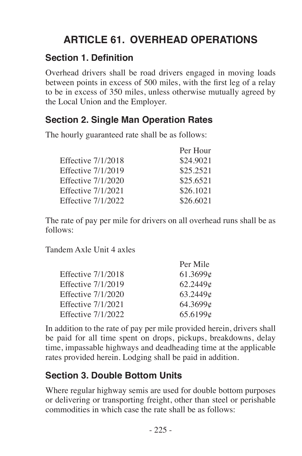# **ARTICLE 61. OVERHEAD OPERATIONS**

#### **Section 1. Definition**

Overhead drivers shall be road drivers engaged in moving loads between points in excess of 500 miles, with the first leg of a relay to be in excess of 350 miles, unless otherwise mutually agreed by the Local Union and the Employer.

### **Section 2. Single Man Operation Rates**

The hourly guaranteed rate shall be as follows:

| Per Hour  |
|-----------|
| \$24,9021 |
| \$25.2521 |
| \$25,6521 |
| \$26,1021 |
| \$26,6021 |
|           |

The rate of pay per mile for drivers on all overhead runs shall be as follows:

Per Mile

Tandem Axle Unit 4 axles

|                    | Per Mile |
|--------------------|----------|
| Effective 7/1/2018 | 61.3699c |
| Effective 7/1/2019 | 62.2449c |
| Effective 7/1/2020 | 63.2449c |
| Effective 7/1/2021 | 64.3699c |
| Effective 7/1/2022 | 65.6199c |
|                    |          |

In addition to the rate of pay per mile provided herein, drivers shall be paid for all time spent on drops, pickups, breakdowns, delay time, impassable highways and deadheading time at the applicable rates provided herein. Lodging shall be paid in addition.

#### **Section 3. Double Bottom Units**

Where regular highway semis are used for double bottom purposes or delivering or transporting freight, other than steel or perishable commodities in which case the rate shall be as follows: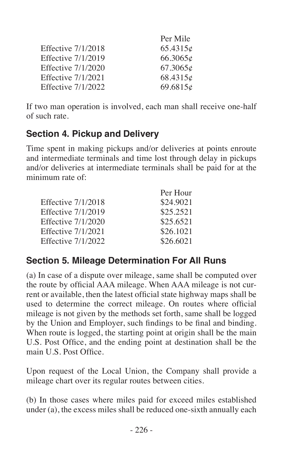| Per Mile |
|----------|
| 65.4315c |
| 66.3065c |
| 67.3065c |
| 68.4315c |
| 69.6815c |
|          |

If two man operation is involved, each man shall receive one-half of such rate.

#### **Section 4. Pickup and Delivery**

Time spent in making pickups and/or deliveries at points enroute and intermediate terminals and time lost through delay in pickups and/or deliveries at intermediate terminals shall be paid for at the minimum rate of:

| Per Hour  |
|-----------|
| \$24.9021 |
| \$25.2521 |
| \$25.6521 |
| \$26.1021 |
| \$26.6021 |
|           |

# **Section 5. Mileage Determination For All Runs**

(a) In case of a dispute over mileage, same shall be computed over the route by official AAA mileage. When AAA mileage is not current or available, then the latest official state highway maps shall be used to determine the correct mileage. On routes where official mileage is not given by the methods set forth, same shall be logged by the Union and Employer, such findings to be final and binding. When route is logged, the starting point at origin shall be the main U.S. Post Office, and the ending point at destination shall be the main U.S. Post Office.

Upon request of the Local Union, the Company shall provide a mileage chart over its regular routes between cities.

(b) In those cases where miles paid for exceed miles established under (a), the excess miles shall be reduced one-sixth annually each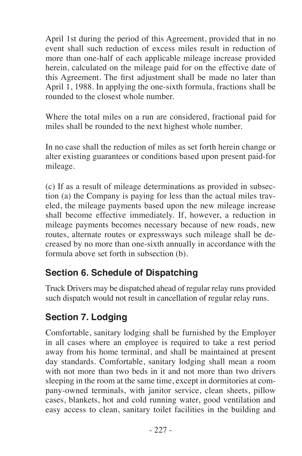April 1st during the period of this Agreement, provided that in no event shall such reduction of excess miles result in reduction of more than one-half of each applicable mileage increase provided herein, calculated on the mileage paid for on the effective date of this Agreement. The first adjustment shall be made no later than April 1, 1988. In applying the one-sixth formula, fractions shall be rounded to the closest whole number.

Where the total miles on a run are considered, fractional paid for miles shall be rounded to the next highest whole number.

In no case shall the reduction of miles as set forth herein change or alter existing guarantees or conditions based upon present paid-for mileage.

(c) If as a result of mileage determinations as provided in subsection (a) the Company is paying for less than the actual miles traveled, the mileage payments based upon the new mileage increase shall become effective immediately. If, however, a reduction in mileage payments becomes necessary because of new roads, new routes, alternate routes or expressways such mileage shall be decreased by no more than one-sixth annually in accordance with the formula above set forth in subsection (b).

#### **Section 6. Schedule of Dispatching**

Truck Drivers may be dispatched ahead of regular relay runs provided such dispatch would not result in cancellation of regular relay runs.

#### **Section 7. Lodging**

Comfortable, sanitary lodging shall be furnished by the Employer in all cases where an employee is required to take a rest period away from his home terminal, and shall be maintained at present day standards. Comfortable, sanitary lodging shall mean a room with not more than two beds in it and not more than two drivers sleeping in the room at the same time, except in dormitories at company-owned terminals, with janitor service, clean sheets, pillow cases, blankets, hot and cold running water, good ventilation and easy access to clean, sanitary toilet facilities in the building and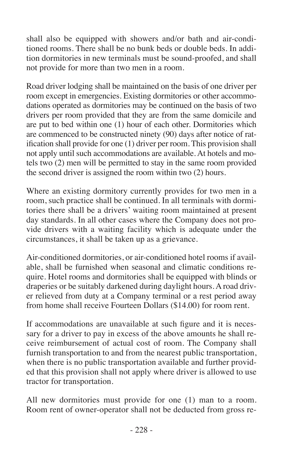shall also be equipped with showers and/or bath and air-conditioned rooms. There shall be no bunk beds or double beds. In addition dormitories in new terminals must be sound-proofed, and shall not provide for more than two men in a room.

Road driver lodging shall be maintained on the basis of one driver per room except in emergencies. Existing dormitories or other accommodations operated as dormitories may be continued on the basis of two drivers per room provided that they are from the same domicile and are put to bed within one (1) hour of each other. Dormitories which are commenced to be constructed ninety (90) days after notice of ratification shall provide for one (1) driver per room. This provision shall not apply until such accommodations are available. At hotels and motels two (2) men will be permitted to stay in the same room provided the second driver is assigned the room within two (2) hours.

Where an existing dormitory currently provides for two men in a room, such practice shall be continued. In all terminals with dormitories there shall be a drivers' waiting room maintained at present day standards. In all other cases where the Company does not provide drivers with a waiting facility which is adequate under the circumstances, it shall be taken up as a grievance.

Air-conditioned dormitories, or air-conditioned hotel rooms if available, shall be furnished when seasonal and climatic conditions require. Hotel rooms and dormitories shall be equipped with blinds or draperies or be suitably darkened during daylight hours. A road driver relieved from duty at a Company terminal or a rest period away from home shall receive Fourteen Dollars (\$14.00) for room rent.

If accommodations are unavailable at such figure and it is necessary for a driver to pay in excess of the above amounts he shall receive reimbursement of actual cost of room. The Company shall furnish transportation to and from the nearest public transportation, when there is no public transportation available and further provided that this provision shall not apply where driver is allowed to use tractor for transportation.

All new dormitories must provide for one (1) man to a room. Room rent of owner-operator shall not be deducted from gross re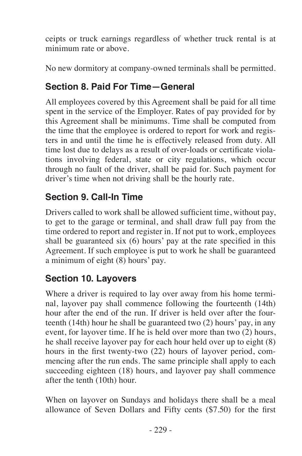ceipts or truck earnings regardless of whether truck rental is at minimum rate or above.

No new dormitory at company-owned terminals shall be permitted.

#### **Section 8. Paid For Time—General**

All employees covered by this Agreement shall be paid for all time spent in the service of the Employer. Rates of pay provided for by this Agreement shall be minimums. Time shall be computed from the time that the employee is ordered to report for work and registers in and until the time he is effectively released from duty. All time lost due to delays as a result of over-loads or certificate violations involving federal, state or city regulations, which occur through no fault of the driver, shall be paid for. Such payment for driver's time when not driving shall be the hourly rate.

#### **Section 9. Call-In Time**

Drivers called to work shall be allowed sufficient time, without pay, to get to the garage or terminal, and shall draw full pay from the time ordered to report and register in. If not put to work, employees shall be guaranteed six (6) hours' pay at the rate specified in this Agreement. If such employee is put to work he shall be guaranteed a minimum of eight (8) hours' pay.

#### **Section 10. Layovers**

Where a driver is required to lay over away from his home terminal, layover pay shall commence following the fourteenth (14th) hour after the end of the run. If driver is held over after the fourteenth (14th) hour he shall be guaranteed two (2) hours' pay, in any event, for layover time. If he is held over more than two (2) hours, he shall receive layover pay for each hour held over up to eight (8) hours in the first twenty-two (22) hours of layover period, commencing after the run ends. The same principle shall apply to each succeeding eighteen (18) hours, and layover pay shall commence after the tenth (10th) hour.

When on layover on Sundays and holidays there shall be a meal allowance of Seven Dollars and Fifty cents (\$7.50) for the first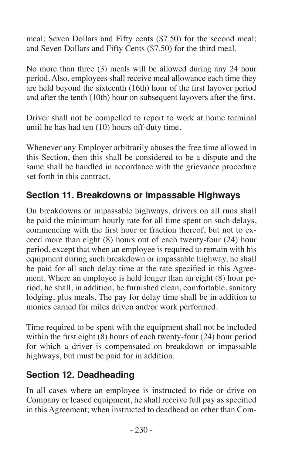meal; Seven Dollars and Fifty cents (\$7.50) for the second meal; and Seven Dollars and Fifty Cents (\$7.50) for the third meal.

No more than three (3) meals will be allowed during any 24 hour period. Also, employees shall receive meal allowance each time they are held beyond the sixteenth (16th) hour of the first layover period and after the tenth (10th) hour on subsequent layovers after the first.

Driver shall not be compelled to report to work at home terminal until he has had ten (10) hours off-duty time.

Whenever any Employer arbitrarily abuses the free time allowed in this Section, then this shall be considered to be a dispute and the same shall be handled in accordance with the grievance procedure set forth in this contract.

#### **Section 11. Breakdowns or Impassable Highways**

On breakdowns or impassable highways, drivers on all runs shall be paid the minimum hourly rate for all time spent on such delays, commencing with the first hour or fraction thereof, but not to exceed more than eight (8) hours out of each twenty-four (24) hour period, except that when an employee is required to remain with his equipment during such breakdown or impassable highway, he shall be paid for all such delay time at the rate specified in this Agreement. Where an employee is held longer than an eight (8) hour period, he shall, in addition, be furnished clean, comfortable, sanitary lodging, plus meals. The pay for delay time shall be in addition to monies earned for miles driven and/or work performed.

Time required to be spent with the equipment shall not be included within the first eight (8) hours of each twenty-four (24) hour period for which a driver is compensated on breakdown or impassable highways, but must be paid for in addition.

#### **Section 12. Deadheading**

In all cases where an employee is instructed to ride or drive on Company or leased equipment, he shall receive full pay as specified in this Agreement; when instructed to deadhead on other than Com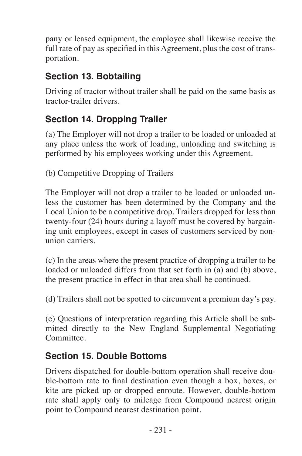pany or leased equipment, the employee shall likewise receive the full rate of pay as specified in this Agreement, plus the cost of transportation.

### **Section 13. Bobtailing**

Driving of tractor without trailer shall be paid on the same basis as tractor-trailer drivers.

### **Section 14. Dropping Trailer**

(a) The Employer will not drop a trailer to be loaded or unloaded at any place unless the work of loading, unloading and switching is performed by his employees working under this Agreement.

(b) Competitive Dropping of Trailers

The Employer will not drop a trailer to be loaded or unloaded unless the customer has been determined by the Company and the Local Union to be a competitive drop. Trailers dropped for less than twenty-four (24) hours during a layoff must be covered by bargaining unit employees, except in cases of customers serviced by nonunion carriers.

(c) In the areas where the present practice of dropping a trailer to be loaded or unloaded differs from that set forth in (a) and (b) above, the present practice in effect in that area shall be continued.

(d) Trailers shall not be spotted to circumvent a premium day's pay.

(e) Questions of interpretation regarding this Article shall be submitted directly to the New England Supplemental Negotiating Committee.

#### **Section 15. Double Bottoms**

Drivers dispatched for double-bottom operation shall receive double-bottom rate to final destination even though a box, boxes, or kite are picked up or dropped enroute. However, double-bottom rate shall apply only to mileage from Compound nearest origin point to Compound nearest destination point.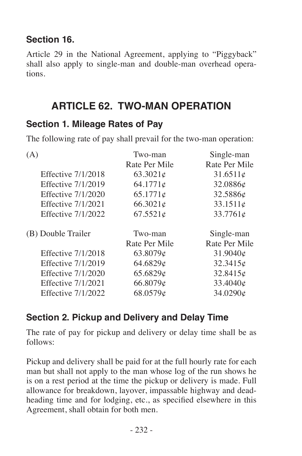#### **Section 16.**

Article 29 in the National Agreement, applying to "Piggyback" shall also apply to single-man and double-man overhead operations.

# **ARTICLE 62. TWO-MAN OPERATION**

#### **Section 1. Mileage Rates of Pay**

The following rate of pay shall prevail for the two-man operation:

| (A)                       | Two-man<br>Rate Per Mile | Single-man<br>Rate Per Mile |
|---------------------------|--------------------------|-----------------------------|
|                           |                          |                             |
| <b>Effective 7/1/2018</b> | 63.3021c                 | 31.6511c                    |
| Effective 7/1/2019        | 64.1771c                 | 32.0886¢                    |
| Effective 7/1/2020        | 65.1771c                 | 32.5886¢                    |
| Effective 7/1/2021        | 66.3021c                 | 33.1511c                    |
| Effective 7/1/2022        | 67.5521c                 | 33.7761c                    |
| (B) Double Trailer        | Two-man                  | Single-man                  |
|                           | Rate Per Mile            | Rate Per Mile               |
| Effective 7/1/2018        | 63.8079c                 | 31.9040¢                    |
| Effective 7/1/2019        | 64.6829¢                 | 32.3415c                    |
| Effective 7/1/2020        | 65.6829¢                 | 32.8415c                    |
| Effective 7/1/2021        | 66.8079¢                 | 33.4040¢                    |
| Effective 7/1/2022        | 68.0579¢                 | 34.0290¢                    |
|                           |                          |                             |

#### **Section 2. Pickup and Delivery and Delay Time**

The rate of pay for pickup and delivery or delay time shall be as follows:

Pickup and delivery shall be paid for at the full hourly rate for each man but shall not apply to the man whose log of the run shows he is on a rest period at the time the pickup or delivery is made. Full allowance for breakdown, layover, impassable highway and deadheading time and for lodging, etc., as specified elsewhere in this Agreement, shall obtain for both men.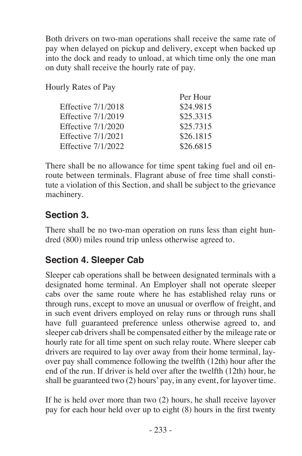Both drivers on two-man operations shall receive the same rate of pay when delayed on pickup and delivery, except when backed up into the dock and ready to unload, at which time only the one man on duty shall receive the hourly rate of pay.

Hourly Rates of Pay

| Per Hour  |
|-----------|
| \$24.9815 |
| \$25,3315 |
| \$25,7315 |
| \$26.1815 |
| \$26,6815 |
|           |

There shall be no allowance for time spent taking fuel and oil enroute between terminals. Flagrant abuse of free time shall constitute a violation of this Section, and shall be subject to the grievance machinery.

#### **Section 3.**

There shall be no two-man operation on runs less than eight hundred (800) miles round trip unless otherwise agreed to.

#### **Section 4. Sleeper Cab**

Sleeper cab operations shall be between designated terminals with a designated home terminal. An Employer shall not operate sleeper cabs over the same route where he has established relay runs or through runs, except to move an unusual or overflow of freight, and in such event drivers employed on relay runs or through runs shall have full guaranteed preference unless otherwise agreed to, and sleeper cab drivers shall be compensated either by the mileage rate or hourly rate for all time spent on such relay route. Where sleeper cab drivers are required to lay over away from their home terminal, layover pay shall commence following the twelfth (12th) hour after the end of the run. If driver is held over after the twelfth (12th) hour, he shall be guaranteed two (2) hours' pay, in any event, for layover time.

If he is held over more than two (2) hours, he shall receive layover pay for each hour held over up to eight (8) hours in the first twenty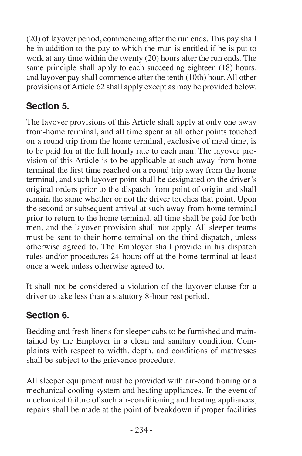(20) of layover period, commencing after the run ends. This pay shall be in addition to the pay to which the man is entitled if he is put to work at any time within the twenty (20) hours after the run ends. The same principle shall apply to each succeeding eighteen (18) hours, and layover pay shall commence after the tenth (10th) hour. All other provisions of Article 62 shall apply except as may be provided below.

# **Section 5.**

The layover provisions of this Article shall apply at only one away from-home terminal, and all time spent at all other points touched on a round trip from the home terminal, exclusive of meal time, is to be paid for at the full hourly rate to each man. The layover provision of this Article is to be applicable at such away-from-home terminal the first time reached on a round trip away from the home terminal, and such layover point shall be designated on the driver's original orders prior to the dispatch from point of origin and shall remain the same whether or not the driver touches that point. Upon the second or subsequent arrival at such away-from home terminal prior to return to the home terminal, all time shall be paid for both men, and the layover provision shall not apply. All sleeper teams must be sent to their home terminal on the third dispatch, unless otherwise agreed to. The Employer shall provide in his dispatch rules and/or procedures 24 hours off at the home terminal at least once a week unless otherwise agreed to.

It shall not be considered a violation of the layover clause for a driver to take less than a statutory 8-hour rest period.

# **Section 6.**

Bedding and fresh linens for sleeper cabs to be furnished and maintained by the Employer in a clean and sanitary condition. Complaints with respect to width, depth, and conditions of mattresses shall be subject to the grievance procedure.

All sleeper equipment must be provided with air-conditioning or a mechanical cooling system and heating appliances. In the event of mechanical failure of such air-conditioning and heating appliances, repairs shall be made at the point of breakdown if proper facilities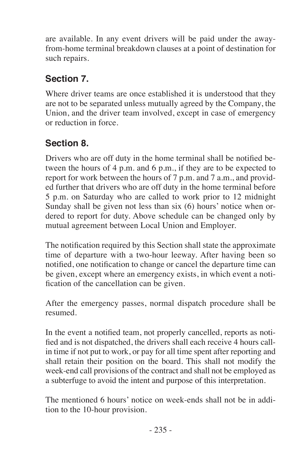are available. In any event drivers will be paid under the awayfrom-home terminal breakdown clauses at a point of destination for such repairs.

# **Section 7.**

Where driver teams are once established it is understood that they are not to be separated unless mutually agreed by the Company, the Union, and the driver team involved, except in case of emergency or reduction in force.

# **Section 8.**

Drivers who are off duty in the home terminal shall be notified between the hours of 4 p.m. and 6 p.m., if they are to be expected to report for work between the hours of 7 p.m. and 7 a.m., and provided further that drivers who are off duty in the home terminal before 5 p.m. on Saturday who are called to work prior to 12 midnight Sunday shall be given not less than six (6) hours' notice when ordered to report for duty. Above schedule can be changed only by mutual agreement between Local Union and Employer.

The notification required by this Section shall state the approximate time of departure with a two-hour leeway. After having been so notified, one notification to change or cancel the departure time can be given, except where an emergency exists, in which event a notification of the cancellation can be given.

After the emergency passes, normal dispatch procedure shall be resumed.

In the event a notified team, not properly cancelled, reports as notified and is not dispatched, the drivers shall each receive 4 hours callin time if not put to work, or pay for all time spent after reporting and shall retain their position on the board. This shall not modify the week-end call provisions of the contract and shall not be employed as a subterfuge to avoid the intent and purpose of this interpretation.

The mentioned 6 hours' notice on week-ends shall not be in addition to the 10-hour provision.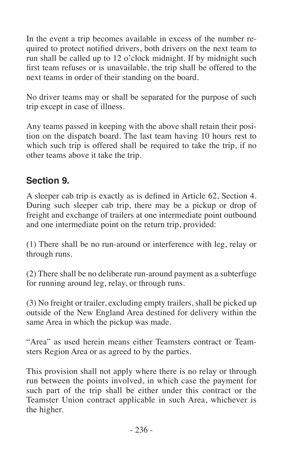In the event a trip becomes available in excess of the number required to protect notified drivers, both drivers on the next team to run shall be called up to 12 o'clock midnight. If by midnight such first team refuses or is unavailable, the trip shall be offered to the next teams in order of their standing on the board.

No driver teams may or shall be separated for the purpose of such trip except in case of illness.

Any teams passed in keeping with the above shall retain their position on the dispatch board. The last team having 10 hours rest to which such trip is offered shall be required to take the trip, if no other teams above it take the trip.

#### **Section 9.**

A sleeper cab trip is exactly as is defined in Article 62, Section 4. During such sleeper cab trip, there may be a pickup or drop of freight and exchange of trailers at one intermediate point outbound and one intermediate point on the return trip, provided:

(1) There shall be no run-around or interference with leg, relay or through runs.

(2) There shall be no deliberate run-around payment as a subterfuge for running around leg, relay, or through runs.

(3) No freight or trailer, excluding empty trailers, shall be picked up outside of the New England Area destined for delivery within the same Area in which the pickup was made.

"Area" as used herein means either Teamsters contract or Teamsters Region Area or as agreed to by the parties.

This provision shall not apply where there is no relay or through run between the points involved, in which case the payment for such part of the trip shall be either under this contract or the Teamster Union contract applicable in such Area, whichever is the higher.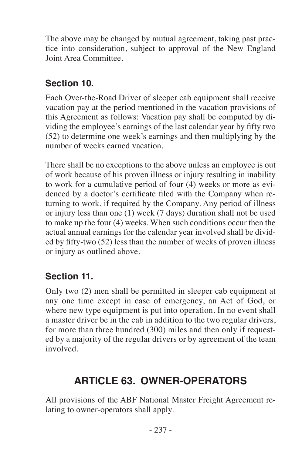The above may be changed by mutual agreement, taking past practice into consideration, subject to approval of the New England Joint Area Committee.

### **Section 10.**

Each Over-the-Road Driver of sleeper cab equipment shall receive vacation pay at the period mentioned in the vacation provisions of this Agreement as follows: Vacation pay shall be computed by dividing the employee's earnings of the last calendar year by fifty two (52) to determine one week's earnings and then multiplying by the number of weeks earned vacation.

There shall be no exceptions to the above unless an employee is out of work because of his proven illness or injury resulting in inability to work for a cumulative period of four (4) weeks or more as evidenced by a doctor's certificate filed with the Company when returning to work, if required by the Company. Any period of illness or injury less than one (1) week (7 days) duration shall not be used to make up the four (4) weeks. When such conditions occur then the actual annual earnings for the calendar year involved shall be divided by fifty-two (52) less than the number of weeks of proven illness or injury as outlined above.

# **Section 11.**

Only two (2) men shall be permitted in sleeper cab equipment at any one time except in case of emergency, an Act of God, or where new type equipment is put into operation. In no event shall a master driver be in the cab in addition to the two regular drivers, for more than three hundred (300) miles and then only if requested by a majority of the regular drivers or by agreement of the team involved.

# **ARTICLE 63. OWNER-OPERATORS**

All provisions of the ABF National Master Freight Agreement relating to owner-operators shall apply.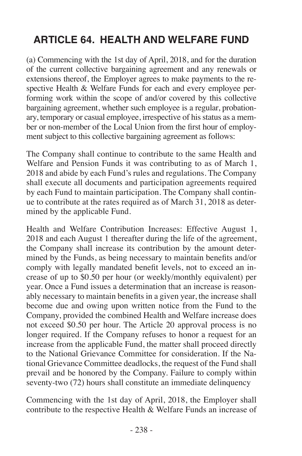# **ARTICLE 64. HEALTH AND WELFARE FUND**

(a) Commencing with the 1st day of April, 2018, and for the duration of the current collective bargaining agreement and any renewals or extensions thereof, the Employer agrees to make payments to the respective Health & Welfare Funds for each and every employee performing work within the scope of and/or covered by this collective bargaining agreement, whether such employee is a regular, probationary, temporary or casual employee, irrespective of his status as a member or non-member of the Local Union from the first hour of employment subject to this collective bargaining agreement as follows:

The Company shall continue to contribute to the same Health and Welfare and Pension Funds it was contributing to as of March 1, 2018 and abide by each Fund's rules and regulations. The Company shall execute all documents and participation agreements required by each Fund to maintain participation. The Company shall continue to contribute at the rates required as of March 31, 2018 as determined by the applicable Fund.

Health and Welfare Contribution Increases: Effective August 1, 2018 and each August 1 thereafter during the life of the agreement, the Company shall increase its contribution by the amount determined by the Funds, as being necessary to maintain benefits and/or comply with legally mandated benefit levels, not to exceed an increase of up to \$0.50 per hour (or weekly/monthly equivalent) per year. Once a Fund issues a determination that an increase is reasonably necessary to maintain benefits in a given year, the increase shall become due and owing upon written notice from the Fund to the Company, provided the combined Health and Welfare increase does not exceed \$0.50 per hour. The Article 20 approval process is no longer required. If the Company refuses to honor a request for an increase from the applicable Fund, the matter shall proceed directly to the National Grievance Committee for consideration. If the National Grievance Committee deadlocks, the request of the Fund shall prevail and be honored by the Company. Failure to comply within seventy-two (72) hours shall constitute an immediate delinquency

Commencing with the 1st day of April, 2018, the Employer shall contribute to the respective Health & Welfare Funds an increase of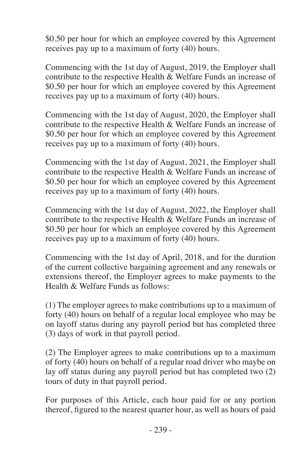\$0.50 per hour for which an employee covered by this Agreement receives pay up to a maximum of forty (40) hours.

Commencing with the 1st day of August, 2019, the Employer shall contribute to the respective Health & Welfare Funds an increase of \$0.50 per hour for which an employee covered by this Agreement receives pay up to a maximum of forty (40) hours.

Commencing with the 1st day of August, 2020, the Employer shall contribute to the respective Health & Welfare Funds an increase of \$0.50 per hour for which an employee covered by this Agreement receives pay up to a maximum of forty (40) hours.

Commencing with the 1st day of August, 2021, the Employer shall contribute to the respective Health & Welfare Funds an increase of \$0.50 per hour for which an employee covered by this Agreement receives pay up to a maximum of forty (40) hours.

Commencing with the 1st day of August, 2022, the Employer shall contribute to the respective Health & Welfare Funds an increase of \$0.50 per hour for which an employee covered by this Agreement receives pay up to a maximum of forty (40) hours.

Commencing with the 1st day of April, 2018, and for the duration of the current collective bargaining agreement and any renewals or extensions thereof, the Employer agrees to make payments to the Health & Welfare Funds as follows:

(1) The employer agrees to make contributions up to a maximum of forty (40) hours on behalf of a regular local employee who may be on layoff status during any payroll period but has completed three (3) days of work in that payroll period.

(2) The Employer agrees to make contributions up to a maximum of forty (40) hours on behalf of a regular road driver who maybe on lay off status during any payroll period but has completed two (2) tours of duty in that payroll period.

For purposes of this Article, each hour paid for or any portion thereof, figured to the nearest quarter hour, as well as hours of paid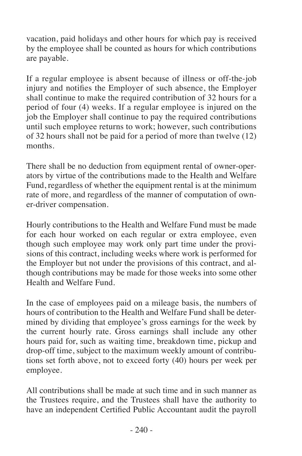vacation, paid holidays and other hours for which pay is received by the employee shall be counted as hours for which contributions are payable.

If a regular employee is absent because of illness or off-the-job injury and notifies the Employer of such absence, the Employer shall continue to make the required contribution of 32 hours for a period of four (4) weeks. If a regular employee is injured on the job the Employer shall continue to pay the required contributions until such employee returns to work; however, such contributions of 32 hours shall not be paid for a period of more than twelve (12) months.

There shall be no deduction from equipment rental of owner-operators by virtue of the contributions made to the Health and Welfare Fund, regardless of whether the equipment rental is at the minimum rate of more, and regardless of the manner of computation of owner-driver compensation.

Hourly contributions to the Health and Welfare Fund must be made for each hour worked on each regular or extra employee, even though such employee may work only part time under the provisions of this contract, including weeks where work is performed for the Employer but not under the provisions of this contract, and although contributions may be made for those weeks into some other Health and Welfare Fund.

In the case of employees paid on a mileage basis, the numbers of hours of contribution to the Health and Welfare Fund shall be determined by dividing that employee's gross earnings for the week by the current hourly rate. Gross earnings shall include any other hours paid for, such as waiting time, breakdown time, pickup and drop-off time, subject to the maximum weekly amount of contributions set forth above, not to exceed forty (40) hours per week per employee.

All contributions shall be made at such time and in such manner as the Trustees require, and the Trustees shall have the authority to have an independent Certified Public Accountant audit the payroll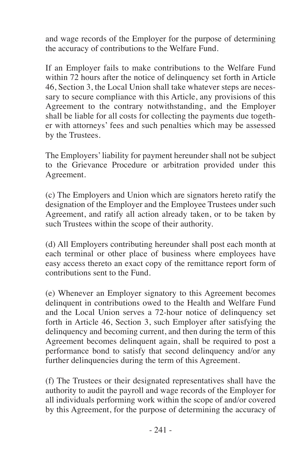and wage records of the Employer for the purpose of determining the accuracy of contributions to the Welfare Fund.

If an Employer fails to make contributions to the Welfare Fund within 72 hours after the notice of delinquency set forth in Article 46, Section 3, the Local Union shall take whatever steps are necessary to secure compliance with this Article, any provisions of this Agreement to the contrary notwithstanding, and the Employer shall be liable for all costs for collecting the payments due together with attorneys' fees and such penalties which may be assessed by the Trustees.

The Employers' liability for payment hereunder shall not be subject to the Grievance Procedure or arbitration provided under this Agreement.

(c) The Employers and Union which are signators hereto ratify the designation of the Employer and the Employee Trustees under such Agreement, and ratify all action already taken, or to be taken by such Trustees within the scope of their authority.

(d) All Employers contributing hereunder shall post each month at each terminal or other place of business where employees have easy access thereto an exact copy of the remittance report form of contributions sent to the Fund.

(e) Whenever an Employer signatory to this Agreement becomes delinquent in contributions owed to the Health and Welfare Fund and the Local Union serves a 72-hour notice of delinquency set forth in Article 46, Section 3, such Employer after satisfying the delinquency and becoming current, and then during the term of this Agreement becomes delinquent again, shall be required to post a performance bond to satisfy that second delinquency and/or any further delinquencies during the term of this Agreement.

(f) The Trustees or their designated representatives shall have the authority to audit the payroll and wage records of the Employer for all individuals performing work within the scope of and/or covered by this Agreement, for the purpose of determining the accuracy of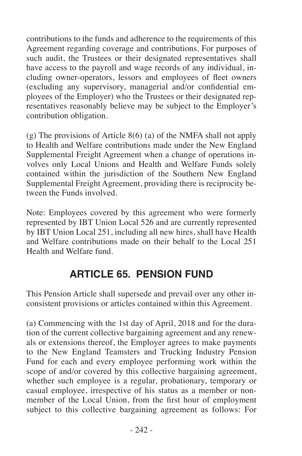contributions to the funds and adherence to the requirements of this Agreement regarding coverage and contributions. For purposes of such audit, the Trustees or their designated representatives shall have access to the payroll and wage records of any individual, including owner-operators, lessors and employees of fleet owners (excluding any supervisory, managerial and/or confidential employees of the Employer) who the Trustees or their designated representatives reasonably believe may be subject to the Employer's contribution obligation.

(g) The provisions of Article 8(6) (a) of the NMFA shall not apply to Health and Welfare contributions made under the New England Supplemental Freight Agreement when a change of operations involves only Local Unions and Health and Welfare Funds solely contained within the jurisdiction of the Southern New England Supplemental Freight Agreement, providing there is reciprocity between the Funds involved.

Note: Employees covered by this agreement who were formerly represented by IBT Union Local 526 and are currently represented by IBT Union Local 251, including all new hires, shall have Health and Welfare contributions made on their behalf to the Local 251 Health and Welfare fund.

# **ARTICLE 65. PENSION FUND**

This Pension Article shall supersede and prevail over any other inconsistent provisions or articles contained within this Agreement.

(a) Commencing with the 1st day of April, 2018 and for the duration of the current collective bargaining agreement and any renewals or extensions thereof, the Employer agrees to make payments to the New England Teamsters and Trucking Industry Pension Fund for each and every employee performing work within the scope of and/or covered by this collective bargaining agreement, whether such employee is a regular, probationary, temporary or casual employee, irrespective of his status as a member or nonmember of the Local Union, from the first hour of employment subject to this collective bargaining agreement as follows: For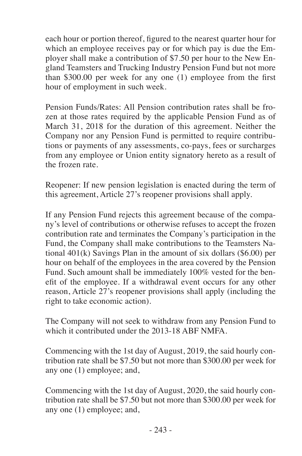each hour or portion thereof, figured to the nearest quarter hour for which an employee receives pay or for which pay is due the Employer shall make a contribution of \$7.50 per hour to the New England Teamsters and Trucking Industry Pension Fund but not more than \$300.00 per week for any one (1) employee from the first hour of employment in such week.

Pension Funds/Rates: All Pension contribution rates shall be frozen at those rates required by the applicable Pension Fund as of March 31, 2018 for the duration of this agreement. Neither the Company nor any Pension Fund is permitted to require contributions or payments of any assessments, co-pays, fees or surcharges from any employee or Union entity signatory hereto as a result of the frozen rate.

Reopener: If new pension legislation is enacted during the term of this agreement, Article 27's reopener provisions shall apply.

If any Pension Fund rejects this agreement because of the company's level of contributions or otherwise refuses to accept the frozen contribution rate and terminates the Company's participation in the Fund, the Company shall make contributions to the Teamsters National 401(k) Savings Plan in the amount of six dollars (\$6.00) per hour on behalf of the employees in the area covered by the Pension Fund. Such amount shall be immediately 100% vested for the benefit of the employee. If a withdrawal event occurs for any other reason, Article 27's reopener provisions shall apply (including the right to take economic action).

The Company will not seek to withdraw from any Pension Fund to which it contributed under the 2013-18 ABF NMFA.

Commencing with the 1st day of August, 2019, the said hourly contribution rate shall be \$7.50 but not more than \$300.00 per week for any one (1) employee; and,

Commencing with the 1st day of August, 2020, the said hourly contribution rate shall be \$7.50 but not more than \$300.00 per week for any one (1) employee; and,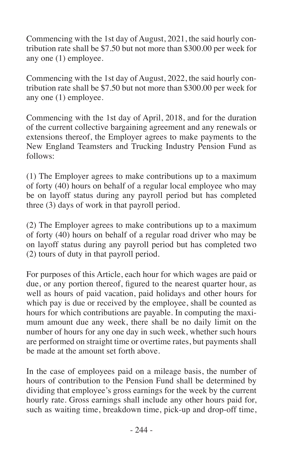Commencing with the 1st day of August, 2021, the said hourly contribution rate shall be \$7.50 but not more than \$300.00 per week for any one (1) employee.

Commencing with the 1st day of August, 2022, the said hourly contribution rate shall be \$7.50 but not more than \$300.00 per week for any one (1) employee.

Commencing with the 1st day of April, 2018, and for the duration of the current collective bargaining agreement and any renewals or extensions thereof, the Employer agrees to make payments to the New England Teamsters and Trucking Industry Pension Fund as follows:

(1) The Employer agrees to make contributions up to a maximum of forty (40) hours on behalf of a regular local employee who may be on layoff status during any payroll period but has completed three (3) days of work in that payroll period.

(2) The Employer agrees to make contributions up to a maximum of forty (40) hours on behalf of a regular road driver who may be on layoff status during any payroll period but has completed two (2) tours of duty in that payroll period.

For purposes of this Article, each hour for which wages are paid or due, or any portion thereof, figured to the nearest quarter hour, as well as hours of paid vacation, paid holidays and other hours for which pay is due or received by the employee, shall be counted as hours for which contributions are payable. In computing the maximum amount due any week, there shall be no daily limit on the number of hours for any one day in such week, whether such hours are performed on straight time or overtime rates, but payments shall be made at the amount set forth above.

In the case of employees paid on a mileage basis, the number of hours of contribution to the Pension Fund shall be determined by dividing that employee's gross earnings for the week by the current hourly rate. Gross earnings shall include any other hours paid for, such as waiting time, breakdown time, pick-up and drop-off time,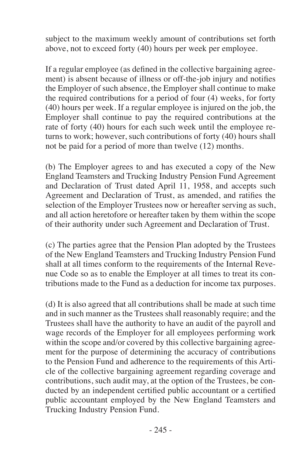subject to the maximum weekly amount of contributions set forth above, not to exceed forty (40) hours per week per employee.

If a regular employee (as defined in the collective bargaining agreement) is absent because of illness or off-the-job injury and notifies the Employer of such absence, the Employer shall continue to make the required contributions for a period of four (4) weeks, for forty (40) hours per week. If a regular employee is injured on the job, the Employer shall continue to pay the required contributions at the rate of forty (40) hours for each such week until the employee returns to work; however, such contributions of forty (40) hours shall not be paid for a period of more than twelve (12) months.

(b) The Employer agrees to and has executed a copy of the New England Teamsters and Trucking Industry Pension Fund Agreement and Declaration of Trust dated April 11, 1958, and accepts such Agreement and Declaration of Trust, as amended, and ratifies the selection of the Employer Trustees now or hereafter serving as such, and all action heretofore or hereafter taken by them within the scope of their authority under such Agreement and Declaration of Trust.

(c) The parties agree that the Pension Plan adopted by the Trustees of the New England Teamsters and Trucking Industry Pension Fund shall at all times conform to the requirements of the Internal Revenue Code so as to enable the Employer at all times to treat its contributions made to the Fund as a deduction for income tax purposes.

(d) It is also agreed that all contributions shall be made at such time and in such manner as the Trustees shall reasonably require; and the Trustees shall have the authority to have an audit of the payroll and wage records of the Employer for all employees performing work within the scope and/or covered by this collective bargaining agreement for the purpose of determining the accuracy of contributions to the Pension Fund and adherence to the requirements of this Article of the collective bargaining agreement regarding coverage and contributions, such audit may, at the option of the Trustees, be conducted by an independent certified public accountant or a certified public accountant employed by the New England Teamsters and Trucking Industry Pension Fund.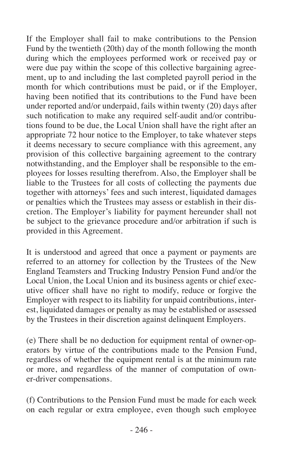If the Employer shall fail to make contributions to the Pension Fund by the twentieth (20th) day of the month following the month during which the employees performed work or received pay or were due pay within the scope of this collective bargaining agreement, up to and including the last completed payroll period in the month for which contributions must be paid, or if the Employer, having been notified that its contributions to the Fund have been under reported and/or underpaid, fails within twenty (20) days after such notification to make any required self-audit and/or contributions found to be due, the Local Union shall have the right after an appropriate 72 hour notice to the Employer, to take whatever steps it deems necessary to secure compliance with this agreement, any provision of this collective bargaining agreement to the contrary notwithstanding, and the Employer shall be responsible to the employees for losses resulting therefrom. Also, the Employer shall be liable to the Trustees for all costs of collecting the payments due together with attorneys' fees and such interest, liquidated damages or penalties which the Trustees may assess or establish in their discretion. The Employer's liability for payment hereunder shall not be subject to the grievance procedure and/or arbitration if such is provided in this Agreement.

It is understood and agreed that once a payment or payments are referred to an attorney for collection by the Trustees of the New England Teamsters and Trucking Industry Pension Fund and/or the Local Union, the Local Union and its business agents or chief executive officer shall have no right to modify, reduce or forgive the Employer with respect to its liability for unpaid contributions, interest, liquidated damages or penalty as may be established or assessed by the Trustees in their discretion against delinquent Employers.

(e) There shall be no deduction for equipment rental of owner-operators by virtue of the contributions made to the Pension Fund, regardless of whether the equipment rental is at the minimum rate or more, and regardless of the manner of computation of owner-driver compensations.

(f) Contributions to the Pension Fund must be made for each week on each regular or extra employee, even though such employee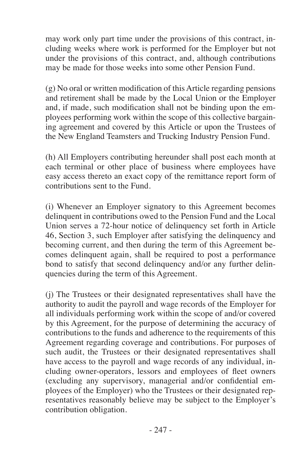may work only part time under the provisions of this contract, including weeks where work is performed for the Employer but not under the provisions of this contract, and, although contributions may be made for those weeks into some other Pension Fund.

(g) No oral or written modification of this Article regarding pensions and retirement shall be made by the Local Union or the Employer and, if made, such modification shall not be binding upon the employees performing work within the scope of this collective bargaining agreement and covered by this Article or upon the Trustees of the New England Teamsters and Trucking Industry Pension Fund.

(h) All Employers contributing hereunder shall post each month at each terminal or other place of business where employees have easy access thereto an exact copy of the remittance report form of contributions sent to the Fund.

(i) Whenever an Employer signatory to this Agreement becomes delinquent in contributions owed to the Pension Fund and the Local Union serves a 72-hour notice of delinquency set forth in Article 46, Section 3, such Employer after satisfying the delinquency and becoming current, and then during the term of this Agreement becomes delinquent again, shall be required to post a performance bond to satisfy that second delinquency and/or any further delinquencies during the term of this Agreement.

(j) The Trustees or their designated representatives shall have the authority to audit the payroll and wage records of the Employer for all individuals performing work within the scope of and/or covered by this Agreement, for the purpose of determining the accuracy of contributions to the funds and adherence to the requirements of this Agreement regarding coverage and contributions. For purposes of such audit, the Trustees or their designated representatives shall have access to the payroll and wage records of any individual, including owner-operators, lessors and employees of fleet owners (excluding any supervisory, managerial and/or confidential employees of the Employer) who the Trustees or their designated representatives reasonably believe may be subject to the Employer's contribution obligation.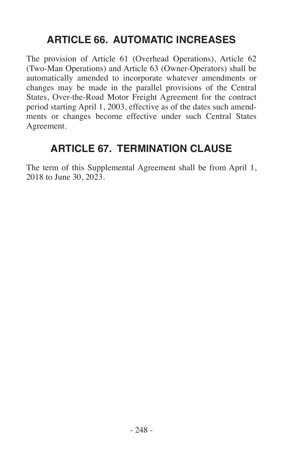## **ARTICLE 66. AUTOMATIC INCREASES**

The provision of Article 61 (Overhead Operations), Article 62 (Two-Man Operations) and Article 63 (Owner-Operators) shall be automatically amended to incorporate whatever amendments or changes may be made in the parallel provisions of the Central States, Over-the-Road Motor Freight Agreement for the contract period starting April 1, 2003, effective as of the dates such amendments or changes become effective under such Central States Agreement.

## **ARTICLE 67. TERMINATION CLAUSE**

The term of this Supplemental Agreement shall be from April 1, 2018 to June 30, 2023.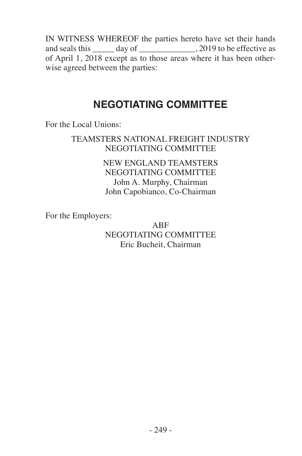IN WITNESS WHEREOF the parties hereto have set their hands and seals this \_\_\_\_\_ day of \_\_\_\_\_\_\_\_\_\_\_\_, 2019 to be effective as of April 1, 2018 except as to those areas where it has been otherwise agreed between the parties:

## **NEGOTIATING COMMITTEE**

For the Local Unions:

## TEAMSTERS NATIONAL FREIGHT INDUSTRY NEGOTIATING COMMITTEE

NEW ENGLAND TEAMSTERS NEGOTIATING COMMITTEE John A. Murphy, Chairman John Capobianco, Co-Chairman

For the Employers:

ABF NEGOTIATING COMMITTEE Eric Bucheit, Chairman